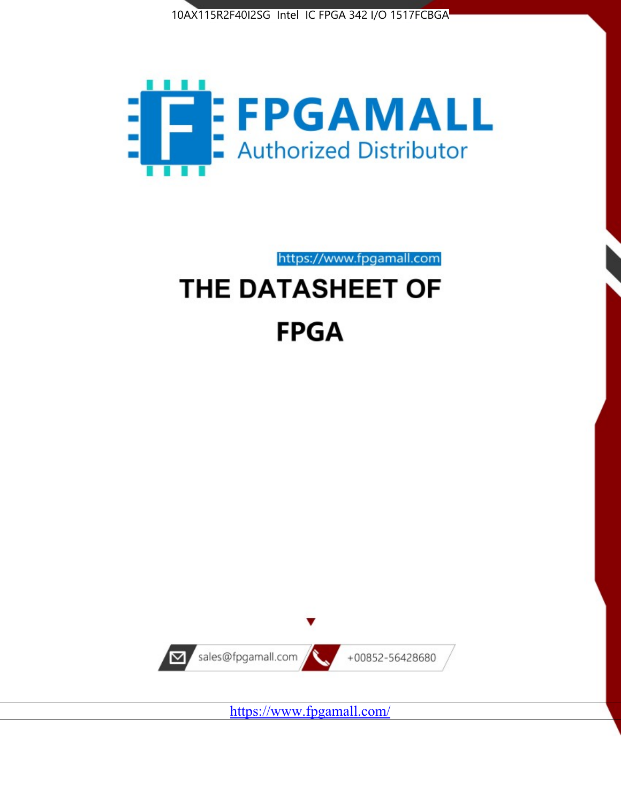



https://www.fpgamall.com

# THE DATASHEET OF **FPGA**



<https://www.fpgamall.com/>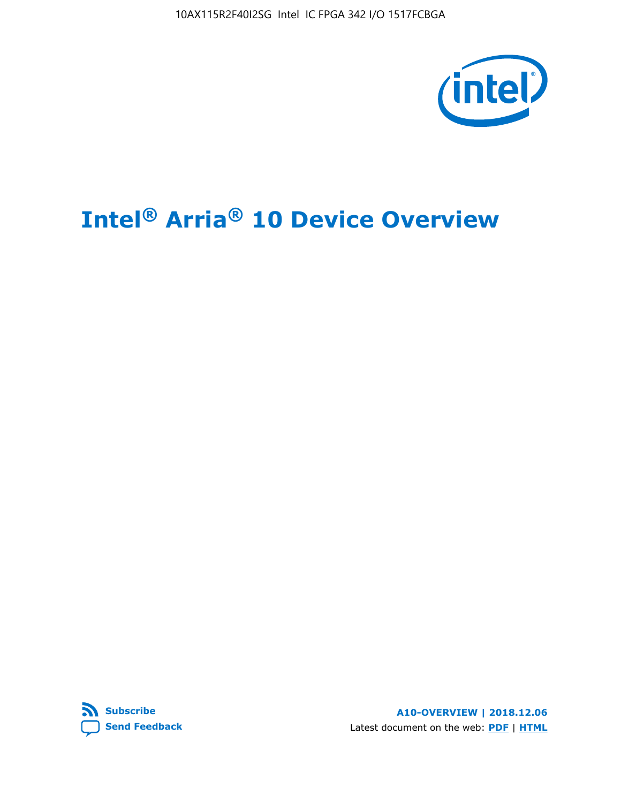10AX115R2F40I2SG Intel IC FPGA 342 I/O 1517FCBGA



# **Intel® Arria® 10 Device Overview**



**A10-OVERVIEW | 2018.12.06** Latest document on the web: **[PDF](https://www.intel.com/content/dam/www/programmable/us/en/pdfs/literature/hb/arria-10/a10_overview.pdf)** | **[HTML](https://www.intel.com/content/www/us/en/programmable/documentation/sam1403480274650.html)**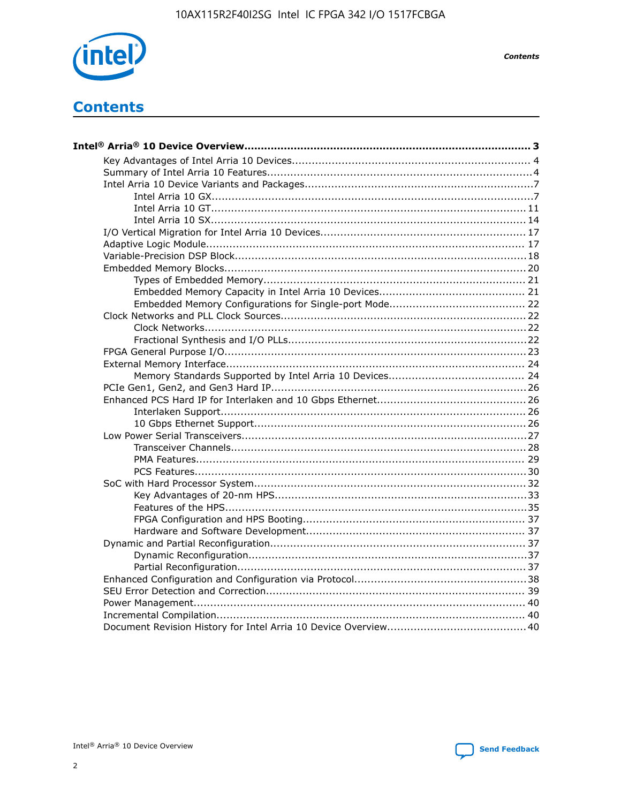

**Contents** 

# **Contents**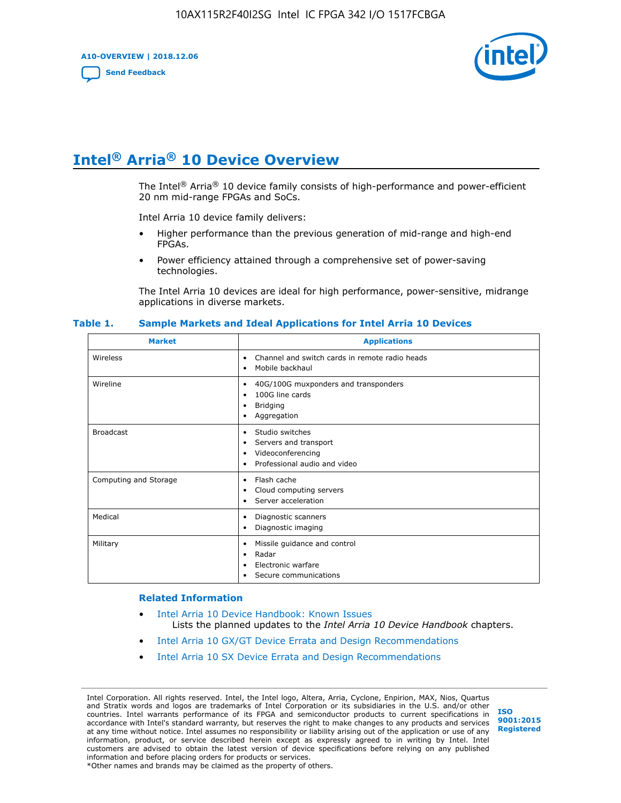**A10-OVERVIEW | 2018.12.06**

**[Send Feedback](mailto:FPGAtechdocfeedback@intel.com?subject=Feedback%20on%20Intel%20Arria%2010%20Device%20Overview%20(A10-OVERVIEW%202018.12.06)&body=We%20appreciate%20your%20feedback.%20In%20your%20comments,%20also%20specify%20the%20page%20number%20or%20paragraph.%20Thank%20you.)**



# **Intel® Arria® 10 Device Overview**

The Intel<sup>®</sup> Arria<sup>®</sup> 10 device family consists of high-performance and power-efficient 20 nm mid-range FPGAs and SoCs.

Intel Arria 10 device family delivers:

- Higher performance than the previous generation of mid-range and high-end FPGAs.
- Power efficiency attained through a comprehensive set of power-saving technologies.

The Intel Arria 10 devices are ideal for high performance, power-sensitive, midrange applications in diverse markets.

| <b>Market</b>         | <b>Applications</b>                                                                                               |
|-----------------------|-------------------------------------------------------------------------------------------------------------------|
| Wireless              | Channel and switch cards in remote radio heads<br>٠<br>Mobile backhaul<br>٠                                       |
| Wireline              | 40G/100G muxponders and transponders<br>٠<br>100G line cards<br>٠<br><b>Bridging</b><br>٠<br>Aggregation<br>٠     |
| <b>Broadcast</b>      | Studio switches<br>٠<br>Servers and transport<br>٠<br>Videoconferencing<br>٠<br>Professional audio and video<br>٠ |
| Computing and Storage | Flash cache<br>٠<br>Cloud computing servers<br>٠<br>Server acceleration<br>٠                                      |
| Medical               | Diagnostic scanners<br>٠<br>Diagnostic imaging<br>٠                                                               |
| Military              | Missile guidance and control<br>٠<br>Radar<br>٠<br>Electronic warfare<br>٠<br>Secure communications<br>٠          |

#### **Table 1. Sample Markets and Ideal Applications for Intel Arria 10 Devices**

#### **Related Information**

- [Intel Arria 10 Device Handbook: Known Issues](http://www.altera.com/support/kdb/solutions/rd07302013_646.html) Lists the planned updates to the *Intel Arria 10 Device Handbook* chapters.
- [Intel Arria 10 GX/GT Device Errata and Design Recommendations](https://www.intel.com/content/www/us/en/programmable/documentation/agz1493851706374.html#yqz1494433888646)
- [Intel Arria 10 SX Device Errata and Design Recommendations](https://www.intel.com/content/www/us/en/programmable/documentation/cru1462832385668.html#cru1462832558642)

Intel Corporation. All rights reserved. Intel, the Intel logo, Altera, Arria, Cyclone, Enpirion, MAX, Nios, Quartus and Stratix words and logos are trademarks of Intel Corporation or its subsidiaries in the U.S. and/or other countries. Intel warrants performance of its FPGA and semiconductor products to current specifications in accordance with Intel's standard warranty, but reserves the right to make changes to any products and services at any time without notice. Intel assumes no responsibility or liability arising out of the application or use of any information, product, or service described herein except as expressly agreed to in writing by Intel. Intel customers are advised to obtain the latest version of device specifications before relying on any published information and before placing orders for products or services. \*Other names and brands may be claimed as the property of others.

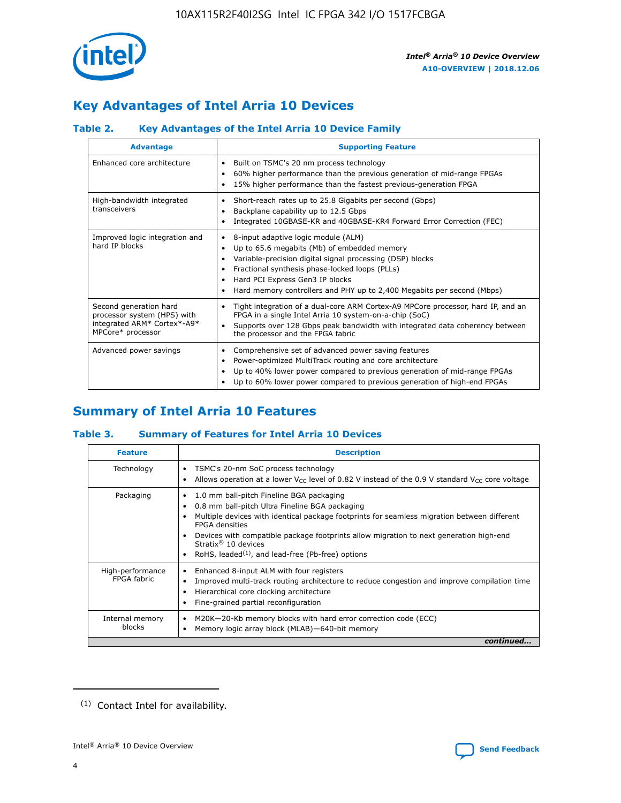

# **Key Advantages of Intel Arria 10 Devices**

# **Table 2. Key Advantages of the Intel Arria 10 Device Family**

| <b>Advantage</b>                                                                                          | <b>Supporting Feature</b>                                                                                                                                                                                                                                                                                                     |
|-----------------------------------------------------------------------------------------------------------|-------------------------------------------------------------------------------------------------------------------------------------------------------------------------------------------------------------------------------------------------------------------------------------------------------------------------------|
| Enhanced core architecture                                                                                | Built on TSMC's 20 nm process technology<br>٠<br>60% higher performance than the previous generation of mid-range FPGAs<br>٠<br>15% higher performance than the fastest previous-generation FPGA                                                                                                                              |
| High-bandwidth integrated<br>transceivers                                                                 | Short-reach rates up to 25.8 Gigabits per second (Gbps)<br>٠<br>Backplane capability up to 12.5 Gbps<br>٠<br>Integrated 10GBASE-KR and 40GBASE-KR4 Forward Error Correction (FEC)<br>٠                                                                                                                                        |
| Improved logic integration and<br>hard IP blocks                                                          | 8-input adaptive logic module (ALM)<br>٠<br>Up to 65.6 megabits (Mb) of embedded memory<br>٠<br>Variable-precision digital signal processing (DSP) blocks<br>Fractional synthesis phase-locked loops (PLLs)<br>٠<br>Hard PCI Express Gen3 IP blocks<br>Hard memory controllers and PHY up to 2,400 Megabits per second (Mbps) |
| Second generation hard<br>processor system (HPS) with<br>integrated ARM* Cortex*-A9*<br>MPCore* processor | Tight integration of a dual-core ARM Cortex-A9 MPCore processor, hard IP, and an<br>٠<br>FPGA in a single Intel Arria 10 system-on-a-chip (SoC)<br>Supports over 128 Gbps peak bandwidth with integrated data coherency between<br>$\bullet$<br>the processor and the FPGA fabric                                             |
| Advanced power savings                                                                                    | Comprehensive set of advanced power saving features<br>٠<br>Power-optimized MultiTrack routing and core architecture<br>٠<br>Up to 40% lower power compared to previous generation of mid-range FPGAs<br>٠<br>Up to 60% lower power compared to previous generation of high-end FPGAs                                         |

# **Summary of Intel Arria 10 Features**

## **Table 3. Summary of Features for Intel Arria 10 Devices**

| <b>Feature</b>                  | <b>Description</b>                                                                                                                                                                                                                                                                                                                                                                                 |
|---------------------------------|----------------------------------------------------------------------------------------------------------------------------------------------------------------------------------------------------------------------------------------------------------------------------------------------------------------------------------------------------------------------------------------------------|
| Technology                      | TSMC's 20-nm SoC process technology<br>Allows operation at a lower $V_{\text{CC}}$ level of 0.82 V instead of the 0.9 V standard $V_{\text{CC}}$ core voltage                                                                                                                                                                                                                                      |
| Packaging                       | 1.0 mm ball-pitch Fineline BGA packaging<br>٠<br>0.8 mm ball-pitch Ultra Fineline BGA packaging<br>Multiple devices with identical package footprints for seamless migration between different<br><b>FPGA</b> densities<br>Devices with compatible package footprints allow migration to next generation high-end<br>Stratix $@10$ devices<br>RoHS, leaded $(1)$ , and lead-free (Pb-free) options |
| High-performance<br>FPGA fabric | Enhanced 8-input ALM with four registers<br>Improved multi-track routing architecture to reduce congestion and improve compilation time<br>Hierarchical core clocking architecture<br>Fine-grained partial reconfiguration                                                                                                                                                                         |
| Internal memory<br>blocks       | M20K-20-Kb memory blocks with hard error correction code (ECC)<br>Memory logic array block (MLAB)-640-bit memory                                                                                                                                                                                                                                                                                   |
|                                 | continued                                                                                                                                                                                                                                                                                                                                                                                          |



<sup>(1)</sup> Contact Intel for availability.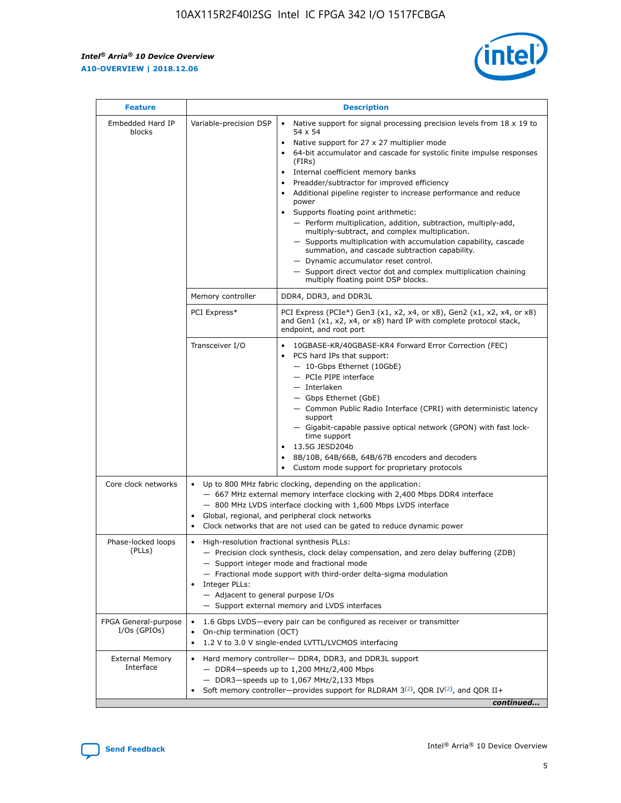r



| <b>Feature</b>                         |                                                                                                                                                                                                                                                                                                                                   | <b>Description</b>                                                                                                                                                                                                                                                                                                                                                                                                                                                                                                                                                                                                                                                                                                                                                                                                                                               |  |  |  |  |  |
|----------------------------------------|-----------------------------------------------------------------------------------------------------------------------------------------------------------------------------------------------------------------------------------------------------------------------------------------------------------------------------------|------------------------------------------------------------------------------------------------------------------------------------------------------------------------------------------------------------------------------------------------------------------------------------------------------------------------------------------------------------------------------------------------------------------------------------------------------------------------------------------------------------------------------------------------------------------------------------------------------------------------------------------------------------------------------------------------------------------------------------------------------------------------------------------------------------------------------------------------------------------|--|--|--|--|--|
| Embedded Hard IP<br>blocks             | Variable-precision DSP                                                                                                                                                                                                                                                                                                            | Native support for signal processing precision levels from $18 \times 19$ to<br>$\bullet$<br>54 x 54<br>Native support for 27 x 27 multiplier mode<br>$\bullet$<br>64-bit accumulator and cascade for systolic finite impulse responses<br>(FIRs)<br>Internal coefficient memory banks<br>$\bullet$<br>Preadder/subtractor for improved efficiency<br>Additional pipeline register to increase performance and reduce<br>power<br>Supports floating point arithmetic:<br>- Perform multiplication, addition, subtraction, multiply-add,<br>multiply-subtract, and complex multiplication.<br>- Supports multiplication with accumulation capability, cascade<br>summation, and cascade subtraction capability.<br>- Dynamic accumulator reset control.<br>- Support direct vector dot and complex multiplication chaining<br>multiply floating point DSP blocks. |  |  |  |  |  |
|                                        | Memory controller                                                                                                                                                                                                                                                                                                                 | DDR4, DDR3, and DDR3L                                                                                                                                                                                                                                                                                                                                                                                                                                                                                                                                                                                                                                                                                                                                                                                                                                            |  |  |  |  |  |
|                                        | PCI Express*                                                                                                                                                                                                                                                                                                                      | PCI Express (PCIe*) Gen3 (x1, x2, x4, or x8), Gen2 (x1, x2, x4, or x8)<br>and Gen1 (x1, x2, x4, or x8) hard IP with complete protocol stack,<br>endpoint, and root port                                                                                                                                                                                                                                                                                                                                                                                                                                                                                                                                                                                                                                                                                          |  |  |  |  |  |
|                                        | Transceiver I/O                                                                                                                                                                                                                                                                                                                   | 10GBASE-KR/40GBASE-KR4 Forward Error Correction (FEC)<br>PCS hard IPs that support:<br>- 10-Gbps Ethernet (10GbE)<br>- PCIe PIPE interface<br>- Interlaken<br>- Gbps Ethernet (GbE)<br>- Common Public Radio Interface (CPRI) with deterministic latency<br>support<br>- Gigabit-capable passive optical network (GPON) with fast lock-<br>time support<br>13.5G JESD204b<br>$\bullet$<br>8B/10B, 64B/66B, 64B/67B encoders and decoders<br>Custom mode support for proprietary protocols                                                                                                                                                                                                                                                                                                                                                                        |  |  |  |  |  |
| Core clock networks                    | $\bullet$                                                                                                                                                                                                                                                                                                                         | Up to 800 MHz fabric clocking, depending on the application:<br>- 667 MHz external memory interface clocking with 2,400 Mbps DDR4 interface<br>- 800 MHz LVDS interface clocking with 1,600 Mbps LVDS interface<br>Global, regional, and peripheral clock networks<br>Clock networks that are not used can be gated to reduce dynamic power                                                                                                                                                                                                                                                                                                                                                                                                                                                                                                                      |  |  |  |  |  |
| Phase-locked loops<br>(PLLs)           | High-resolution fractional synthesis PLLs:<br>$\bullet$<br>Integer PLLs:<br>- Adjacent to general purpose I/Os                                                                                                                                                                                                                    | - Precision clock synthesis, clock delay compensation, and zero delay buffering (ZDB)<br>- Support integer mode and fractional mode<br>- Fractional mode support with third-order delta-sigma modulation<br>- Support external memory and LVDS interfaces                                                                                                                                                                                                                                                                                                                                                                                                                                                                                                                                                                                                        |  |  |  |  |  |
| FPGA General-purpose<br>$I/Os$ (GPIOs) | On-chip termination (OCT)<br>$\bullet$                                                                                                                                                                                                                                                                                            | 1.6 Gbps LVDS-every pair can be configured as receiver or transmitter                                                                                                                                                                                                                                                                                                                                                                                                                                                                                                                                                                                                                                                                                                                                                                                            |  |  |  |  |  |
| <b>External Memory</b><br>Interface    | 1.2 V to 3.0 V single-ended LVTTL/LVCMOS interfacing<br>Hard memory controller- DDR4, DDR3, and DDR3L support<br>$\bullet$<br>$-$ DDR4-speeds up to 1,200 MHz/2,400 Mbps<br>- DDR3-speeds up to 1,067 MHz/2,133 Mbps<br>Soft memory controller—provides support for RLDRAM $3^{(2)}$ , QDR IV $^{(2)}$ , and QDR II+<br>continued |                                                                                                                                                                                                                                                                                                                                                                                                                                                                                                                                                                                                                                                                                                                                                                                                                                                                  |  |  |  |  |  |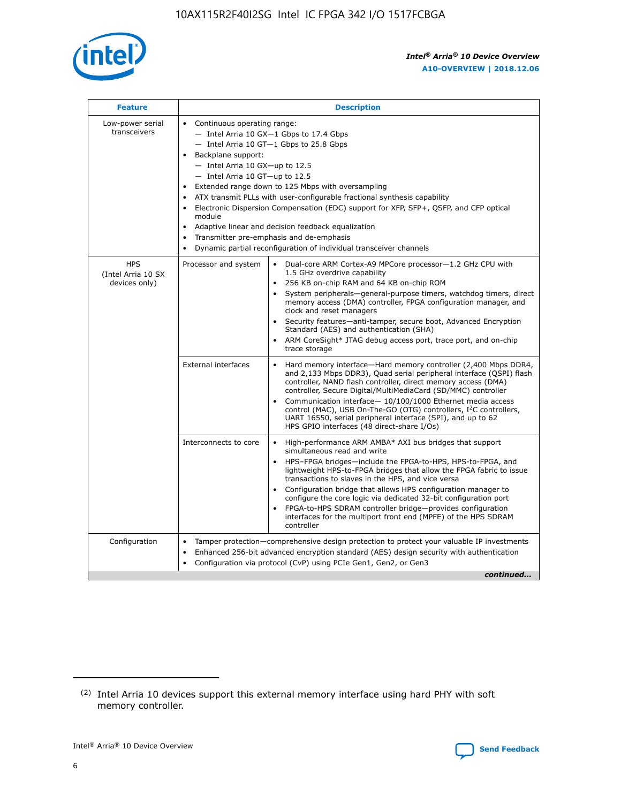

| <b>Feature</b>                                    | <b>Description</b>                                                                                                                                                                                                                                                                                                                                                                                                                                                                                                                                                                                                                                    |
|---------------------------------------------------|-------------------------------------------------------------------------------------------------------------------------------------------------------------------------------------------------------------------------------------------------------------------------------------------------------------------------------------------------------------------------------------------------------------------------------------------------------------------------------------------------------------------------------------------------------------------------------------------------------------------------------------------------------|
| Low-power serial<br>transceivers                  | • Continuous operating range:<br>- Intel Arria 10 GX-1 Gbps to 17.4 Gbps<br>- Intel Arria 10 GT-1 Gbps to 25.8 Gbps<br>Backplane support:<br>$-$ Intel Arria 10 GX-up to 12.5<br>- Intel Arria 10 GT-up to 12.5<br>Extended range down to 125 Mbps with oversampling<br>ATX transmit PLLs with user-configurable fractional synthesis capability<br>Electronic Dispersion Compensation (EDC) support for XFP, SFP+, QSFP, and CFP optical<br>module<br>Adaptive linear and decision feedback equalization<br>$\bullet$<br>Transmitter pre-emphasis and de-emphasis<br>$\bullet$<br>Dynamic partial reconfiguration of individual transceiver channels |
| <b>HPS</b><br>(Intel Arria 10 SX<br>devices only) | • Dual-core ARM Cortex-A9 MPCore processor-1.2 GHz CPU with<br>Processor and system<br>1.5 GHz overdrive capability<br>256 KB on-chip RAM and 64 KB on-chip ROM<br>$\bullet$<br>System peripherals—general-purpose timers, watchdog timers, direct<br>memory access (DMA) controller, FPGA configuration manager, and<br>clock and reset managers<br>Security features—anti-tamper, secure boot, Advanced Encryption<br>$\bullet$<br>Standard (AES) and authentication (SHA)<br>ARM CoreSight* JTAG debug access port, trace port, and on-chip<br>$\bullet$<br>trace storage                                                                          |
|                                                   | <b>External interfaces</b><br>Hard memory interface-Hard memory controller (2,400 Mbps DDR4,<br>$\bullet$<br>and 2,133 Mbps DDR3), Quad serial peripheral interface (QSPI) flash<br>controller, NAND flash controller, direct memory access (DMA)<br>controller, Secure Digital/MultiMediaCard (SD/MMC) controller<br>Communication interface-10/100/1000 Ethernet media access<br>$\bullet$<br>control (MAC), USB On-The-GO (OTG) controllers, I <sup>2</sup> C controllers,<br>UART 16550, serial peripheral interface (SPI), and up to 62<br>HPS GPIO interfaces (48 direct-share I/Os)                                                            |
|                                                   | High-performance ARM AMBA* AXI bus bridges that support<br>Interconnects to core<br>$\bullet$<br>simultaneous read and write<br>HPS-FPGA bridges-include the FPGA-to-HPS, HPS-to-FPGA, and<br>$\bullet$<br>lightweight HPS-to-FPGA bridges that allow the FPGA fabric to issue<br>transactions to slaves in the HPS, and vice versa<br>Configuration bridge that allows HPS configuration manager to<br>configure the core logic via dedicated 32-bit configuration port<br>FPGA-to-HPS SDRAM controller bridge-provides configuration<br>interfaces for the multiport front end (MPFE) of the HPS SDRAM<br>controller                                |
| Configuration                                     | Tamper protection—comprehensive design protection to protect your valuable IP investments<br>Enhanced 256-bit advanced encryption standard (AES) design security with authentication<br>٠<br>Configuration via protocol (CvP) using PCIe Gen1, Gen2, or Gen3<br>continued                                                                                                                                                                                                                                                                                                                                                                             |

<sup>(2)</sup> Intel Arria 10 devices support this external memory interface using hard PHY with soft memory controller.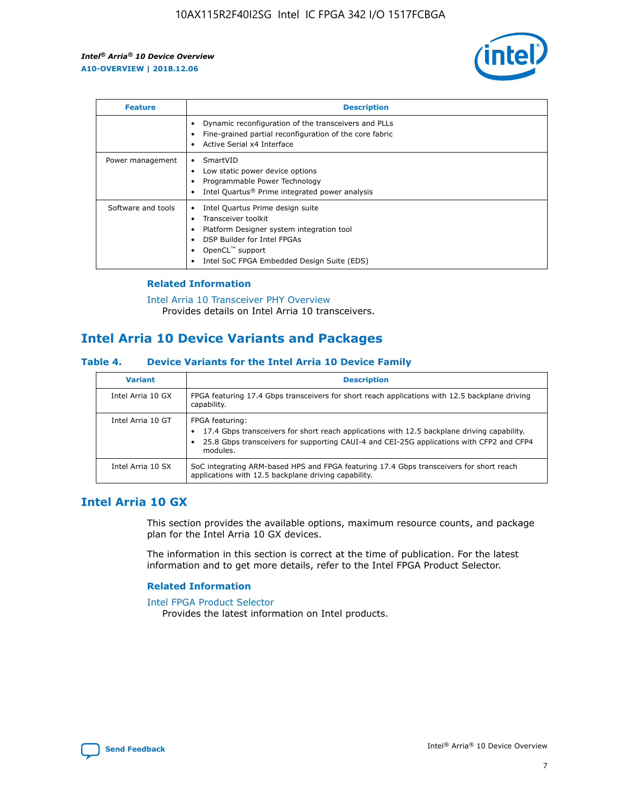

| <b>Feature</b>     | <b>Description</b>                                                                                                                                                                                               |
|--------------------|------------------------------------------------------------------------------------------------------------------------------------------------------------------------------------------------------------------|
|                    | Dynamic reconfiguration of the transceivers and PLLs<br>Fine-grained partial reconfiguration of the core fabric<br>Active Serial x4 Interface<br>$\bullet$                                                       |
| Power management   | SmartVID<br>Low static power device options<br>Programmable Power Technology<br>Intel Quartus <sup>®</sup> Prime integrated power analysis                                                                       |
| Software and tools | Intel Quartus Prime design suite<br>Transceiver toolkit<br>Platform Designer system integration tool<br>DSP Builder for Intel FPGAs<br>OpenCL <sup>™</sup> support<br>Intel SoC FPGA Embedded Design Suite (EDS) |

## **Related Information**

[Intel Arria 10 Transceiver PHY Overview](https://www.intel.com/content/www/us/en/programmable/documentation/nik1398707230472.html#nik1398706768037) Provides details on Intel Arria 10 transceivers.

# **Intel Arria 10 Device Variants and Packages**

#### **Table 4. Device Variants for the Intel Arria 10 Device Family**

| <b>Variant</b>    | <b>Description</b>                                                                                                                                                                                                     |
|-------------------|------------------------------------------------------------------------------------------------------------------------------------------------------------------------------------------------------------------------|
| Intel Arria 10 GX | FPGA featuring 17.4 Gbps transceivers for short reach applications with 12.5 backplane driving<br>capability.                                                                                                          |
| Intel Arria 10 GT | FPGA featuring:<br>17.4 Gbps transceivers for short reach applications with 12.5 backplane driving capability.<br>25.8 Gbps transceivers for supporting CAUI-4 and CEI-25G applications with CFP2 and CFP4<br>modules. |
| Intel Arria 10 SX | SoC integrating ARM-based HPS and FPGA featuring 17.4 Gbps transceivers for short reach<br>applications with 12.5 backplane driving capability.                                                                        |

# **Intel Arria 10 GX**

This section provides the available options, maximum resource counts, and package plan for the Intel Arria 10 GX devices.

The information in this section is correct at the time of publication. For the latest information and to get more details, refer to the Intel FPGA Product Selector.

## **Related Information**

#### [Intel FPGA Product Selector](http://www.altera.com/products/selector/psg-selector.html) Provides the latest information on Intel products.

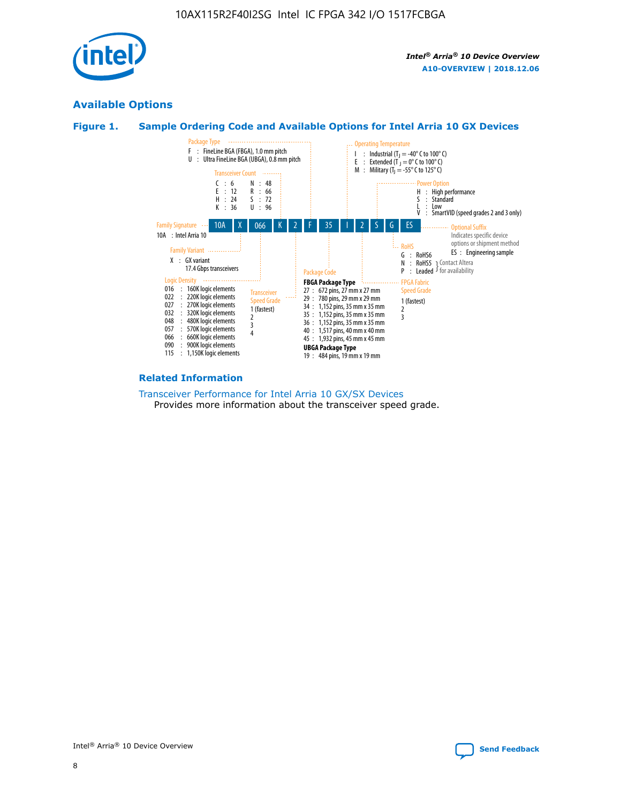

# **Available Options**





#### **Related Information**

[Transceiver Performance for Intel Arria 10 GX/SX Devices](https://www.intel.com/content/www/us/en/programmable/documentation/mcn1413182292568.html#mcn1413213965502) Provides more information about the transceiver speed grade.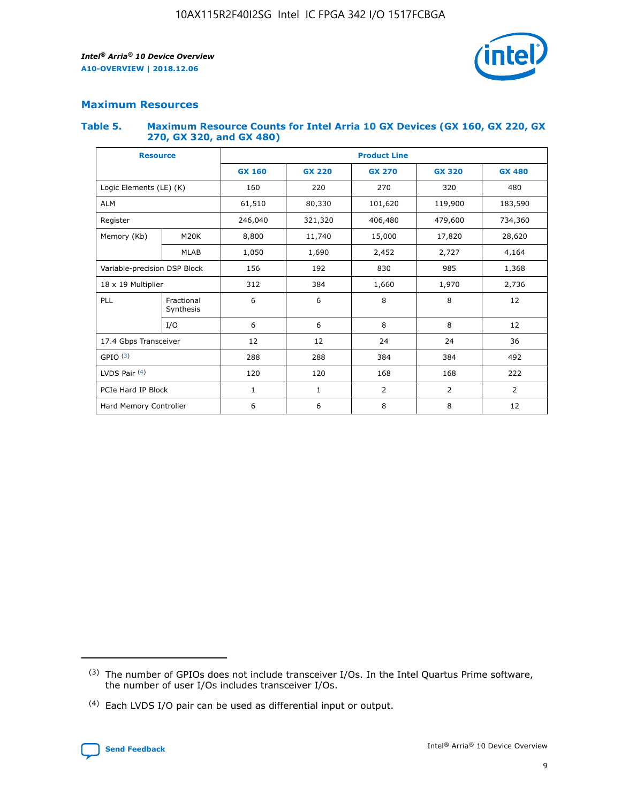

# **Maximum Resources**

#### **Table 5. Maximum Resource Counts for Intel Arria 10 GX Devices (GX 160, GX 220, GX 270, GX 320, and GX 480)**

| <b>Resource</b>              |                         | <b>Product Line</b> |                                                 |                  |                |                |  |  |  |
|------------------------------|-------------------------|---------------------|-------------------------------------------------|------------------|----------------|----------------|--|--|--|
|                              |                         | <b>GX 160</b>       | <b>GX 220</b><br><b>GX 270</b><br><b>GX 320</b> |                  |                | <b>GX 480</b>  |  |  |  |
| Logic Elements (LE) (K)      |                         | 160                 | 220                                             | 270              | 320            | 480            |  |  |  |
| <b>ALM</b>                   |                         | 61,510              | 80,330                                          | 101,620          | 119,900        | 183,590        |  |  |  |
| Register                     |                         | 246,040             | 406,480<br>321,320                              |                  | 479,600        | 734,360        |  |  |  |
| Memory (Kb)                  | M <sub>20</sub> K       | 8,800               | 11,740                                          | 15,000<br>17,820 |                | 28,620         |  |  |  |
|                              | <b>MLAB</b>             | 1,050               | 1,690                                           | 2,452            | 2,727          | 4,164          |  |  |  |
| Variable-precision DSP Block |                         | 156                 | 192                                             | 830              | 985            | 1,368          |  |  |  |
| 18 x 19 Multiplier           |                         | 312                 | 384                                             | 1,970<br>1,660   |                | 2,736          |  |  |  |
| PLL                          | Fractional<br>Synthesis | 6                   | 6                                               | 8                | 8              | 12             |  |  |  |
|                              | I/O                     | 6                   | 6                                               | 8                | 8              | 12             |  |  |  |
| 17.4 Gbps Transceiver        |                         | 12                  | 12                                              | 24               | 24             | 36             |  |  |  |
| GPIO <sup>(3)</sup>          |                         | 288                 | 288                                             | 384              | 384            | 492            |  |  |  |
| LVDS Pair $(4)$              |                         | 120                 | 120                                             | 168              | 168            | 222            |  |  |  |
| PCIe Hard IP Block           |                         | 1                   | 1                                               | 2                | $\overline{2}$ | $\overline{2}$ |  |  |  |
| Hard Memory Controller       |                         | 6                   | 6                                               | 8                | 8              | 12             |  |  |  |

<sup>(4)</sup> Each LVDS I/O pair can be used as differential input or output.



<sup>(3)</sup> The number of GPIOs does not include transceiver I/Os. In the Intel Quartus Prime software, the number of user I/Os includes transceiver I/Os.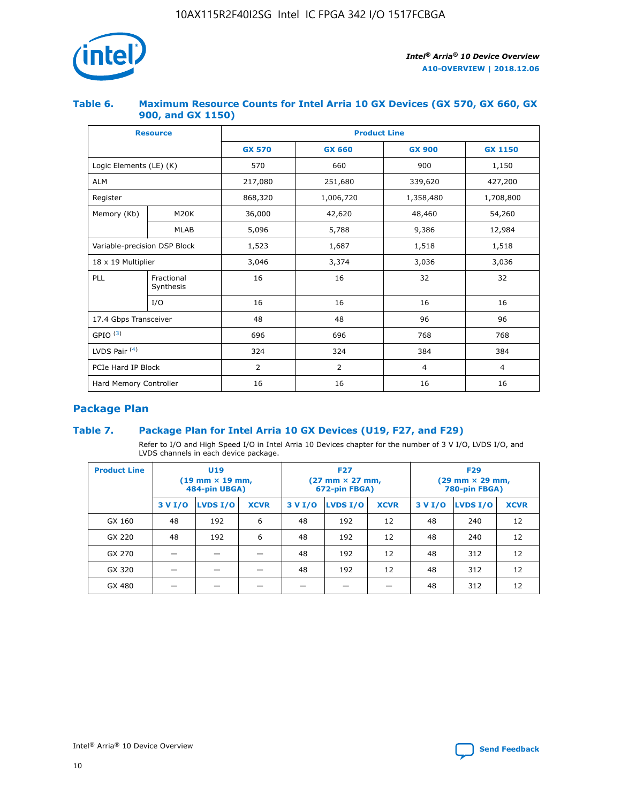

## **Table 6. Maximum Resource Counts for Intel Arria 10 GX Devices (GX 570, GX 660, GX 900, and GX 1150)**

|                              | <b>Resource</b>         | <b>Product Line</b> |                        |                |                |  |  |  |
|------------------------------|-------------------------|---------------------|------------------------|----------------|----------------|--|--|--|
|                              |                         | <b>GX 570</b>       | <b>GX 660</b>          | <b>GX 900</b>  | <b>GX 1150</b> |  |  |  |
| Logic Elements (LE) (K)      |                         | 570                 | 660                    | 900            | 1,150          |  |  |  |
| <b>ALM</b>                   |                         | 217,080             | 251,680                | 339,620        | 427,200        |  |  |  |
| Register                     |                         | 868,320             | 1,006,720<br>1,358,480 |                | 1,708,800      |  |  |  |
| Memory (Kb)                  | <b>M20K</b>             | 36,000              | 42,620                 | 48,460         | 54,260         |  |  |  |
|                              | <b>MLAB</b>             | 5,096               | 5,788                  | 9,386          | 12,984         |  |  |  |
| Variable-precision DSP Block |                         | 1,523               | 1,687                  | 1,518          | 1,518          |  |  |  |
| $18 \times 19$ Multiplier    |                         | 3,046               | 3,374                  | 3,036          | 3,036          |  |  |  |
| PLL                          | Fractional<br>Synthesis | 16                  | 16                     | 32             | 32             |  |  |  |
|                              | I/O                     | 16                  | 16                     | 16             | 16             |  |  |  |
| 17.4 Gbps Transceiver        |                         | 48                  | 48                     | 96             |                |  |  |  |
| GPIO <sup>(3)</sup>          |                         | 696                 | 696                    | 768            | 768            |  |  |  |
| LVDS Pair $(4)$              |                         | 324                 | 324                    | 384            | 384            |  |  |  |
| PCIe Hard IP Block           |                         | 2                   | $\overline{2}$         | $\overline{4}$ | 4              |  |  |  |
| Hard Memory Controller       |                         | 16                  | 16                     | 16             | 16             |  |  |  |

# **Package Plan**

# **Table 7. Package Plan for Intel Arria 10 GX Devices (U19, F27, and F29)**

Refer to I/O and High Speed I/O in Intel Arria 10 Devices chapter for the number of 3 V I/O, LVDS I/O, and LVDS channels in each device package.

| <b>Product Line</b> | U <sub>19</sub><br>$(19 \text{ mm} \times 19 \text{ mm})$<br>484-pin UBGA) |          |             | <b>F27</b><br>(27 mm × 27 mm,<br>672-pin FBGA) |                 |             | <b>F29</b><br>(29 mm × 29 mm,<br>780-pin FBGA) |          |             |  |
|---------------------|----------------------------------------------------------------------------|----------|-------------|------------------------------------------------|-----------------|-------------|------------------------------------------------|----------|-------------|--|
|                     | 3 V I/O                                                                    | LVDS I/O | <b>XCVR</b> | 3 V I/O                                        | <b>LVDS I/O</b> | <b>XCVR</b> | 3 V I/O                                        | LVDS I/O | <b>XCVR</b> |  |
| GX 160              | 48                                                                         | 192      | 6           | 48                                             | 192             | 12          | 48                                             | 240      | 12          |  |
| GX 220              | 48                                                                         | 192      | 6           | 48                                             | 192             | 12          | 48                                             | 240      | 12          |  |
| GX 270              |                                                                            |          |             | 48                                             | 192             | 12          | 48                                             | 312      | 12          |  |
| GX 320              |                                                                            |          |             | 48                                             | 192             | 12          | 48                                             | 312      | 12          |  |
| GX 480              |                                                                            |          |             |                                                |                 |             | 48                                             | 312      | 12          |  |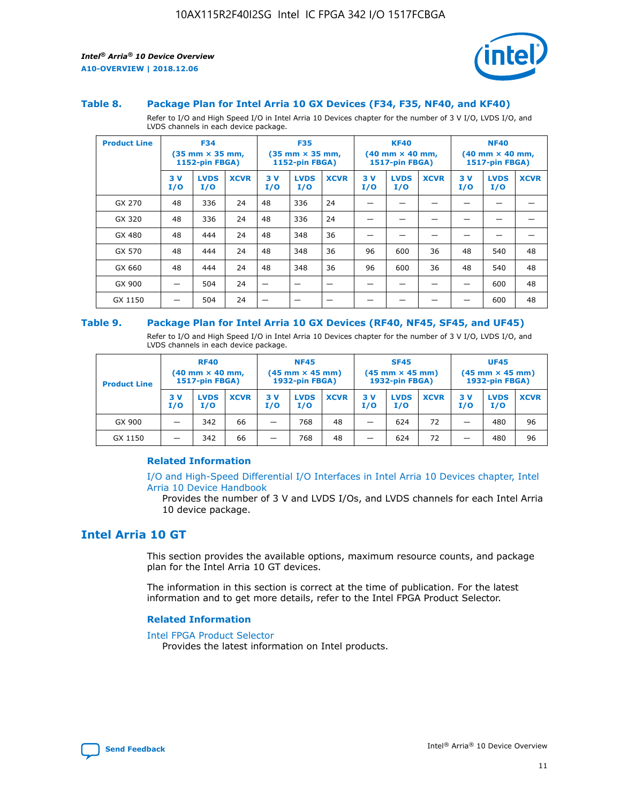

#### **Table 8. Package Plan for Intel Arria 10 GX Devices (F34, F35, NF40, and KF40)**

Refer to I/O and High Speed I/O in Intel Arria 10 Devices chapter for the number of 3 V I/O, LVDS I/O, and LVDS channels in each device package.

| <b>Product Line</b> | <b>F34</b><br>$(35 \text{ mm} \times 35 \text{ mm})$<br><b>1152-pin FBGA)</b> |                    | <b>F35</b><br>$(35 \text{ mm} \times 35 \text{ mm})$<br><b>1152-pin FBGA)</b> |           | <b>KF40</b><br>$(40$ mm $\times$ 40 mm,<br>1517-pin FBGA) |             |           | <b>NF40</b><br>$(40 \text{ mm} \times 40 \text{ mm})$<br>1517-pin FBGA) |             |           |                    |             |
|---------------------|-------------------------------------------------------------------------------|--------------------|-------------------------------------------------------------------------------|-----------|-----------------------------------------------------------|-------------|-----------|-------------------------------------------------------------------------|-------------|-----------|--------------------|-------------|
|                     | 3V<br>I/O                                                                     | <b>LVDS</b><br>I/O | <b>XCVR</b>                                                                   | 3V<br>I/O | <b>LVDS</b><br>I/O                                        | <b>XCVR</b> | 3V<br>I/O | <b>LVDS</b><br>I/O                                                      | <b>XCVR</b> | 3V<br>I/O | <b>LVDS</b><br>I/O | <b>XCVR</b> |
| GX 270              | 48                                                                            | 336                | 24                                                                            | 48        | 336                                                       | 24          |           |                                                                         |             |           |                    |             |
| GX 320              | 48                                                                            | 336                | 24                                                                            | 48        | 336                                                       | 24          |           |                                                                         |             |           |                    |             |
| GX 480              | 48                                                                            | 444                | 24                                                                            | 48        | 348                                                       | 36          |           |                                                                         |             |           |                    |             |
| GX 570              | 48                                                                            | 444                | 24                                                                            | 48        | 348                                                       | 36          | 96        | 600                                                                     | 36          | 48        | 540                | 48          |
| GX 660              | 48                                                                            | 444                | 24                                                                            | 48        | 348                                                       | 36          | 96        | 600                                                                     | 36          | 48        | 540                | 48          |
| GX 900              |                                                                               | 504                | 24                                                                            | –         |                                                           | -           |           |                                                                         |             |           | 600                | 48          |
| GX 1150             |                                                                               | 504                | 24                                                                            |           |                                                           |             |           |                                                                         |             |           | 600                | 48          |

#### **Table 9. Package Plan for Intel Arria 10 GX Devices (RF40, NF45, SF45, and UF45)**

Refer to I/O and High Speed I/O in Intel Arria 10 Devices chapter for the number of 3 V I/O, LVDS I/O, and LVDS channels in each device package.

| <b>Product Line</b> | <b>RF40</b><br>$(40$ mm $\times$ 40 mm,<br>1517-pin FBGA) |                    |             | <b>NF45</b><br>$(45 \text{ mm} \times 45 \text{ mm})$<br><b>1932-pin FBGA)</b> |                    |             | <b>SF45</b><br>$(45 \text{ mm} \times 45 \text{ mm})$<br><b>1932-pin FBGA)</b> |                    |             | <b>UF45</b><br>$(45 \text{ mm} \times 45 \text{ mm})$<br><b>1932-pin FBGA)</b> |                    |             |
|---------------------|-----------------------------------------------------------|--------------------|-------------|--------------------------------------------------------------------------------|--------------------|-------------|--------------------------------------------------------------------------------|--------------------|-------------|--------------------------------------------------------------------------------|--------------------|-------------|
|                     | 3V<br>I/O                                                 | <b>LVDS</b><br>I/O | <b>XCVR</b> | 3 V<br>I/O                                                                     | <b>LVDS</b><br>I/O | <b>XCVR</b> | 3 V<br>I/O                                                                     | <b>LVDS</b><br>I/O | <b>XCVR</b> | 3V<br>I/O                                                                      | <b>LVDS</b><br>I/O | <b>XCVR</b> |
| GX 900              |                                                           | 342                | 66          | _                                                                              | 768                | 48          |                                                                                | 624                | 72          |                                                                                | 480                | 96          |
| GX 1150             |                                                           | 342                | 66          | _                                                                              | 768                | 48          |                                                                                | 624                | 72          |                                                                                | 480                | 96          |

## **Related Information**

[I/O and High-Speed Differential I/O Interfaces in Intel Arria 10 Devices chapter, Intel](https://www.intel.com/content/www/us/en/programmable/documentation/sam1403482614086.html#sam1403482030321) [Arria 10 Device Handbook](https://www.intel.com/content/www/us/en/programmable/documentation/sam1403482614086.html#sam1403482030321)

Provides the number of 3 V and LVDS I/Os, and LVDS channels for each Intel Arria 10 device package.

# **Intel Arria 10 GT**

This section provides the available options, maximum resource counts, and package plan for the Intel Arria 10 GT devices.

The information in this section is correct at the time of publication. For the latest information and to get more details, refer to the Intel FPGA Product Selector.

#### **Related Information**

#### [Intel FPGA Product Selector](http://www.altera.com/products/selector/psg-selector.html)

Provides the latest information on Intel products.

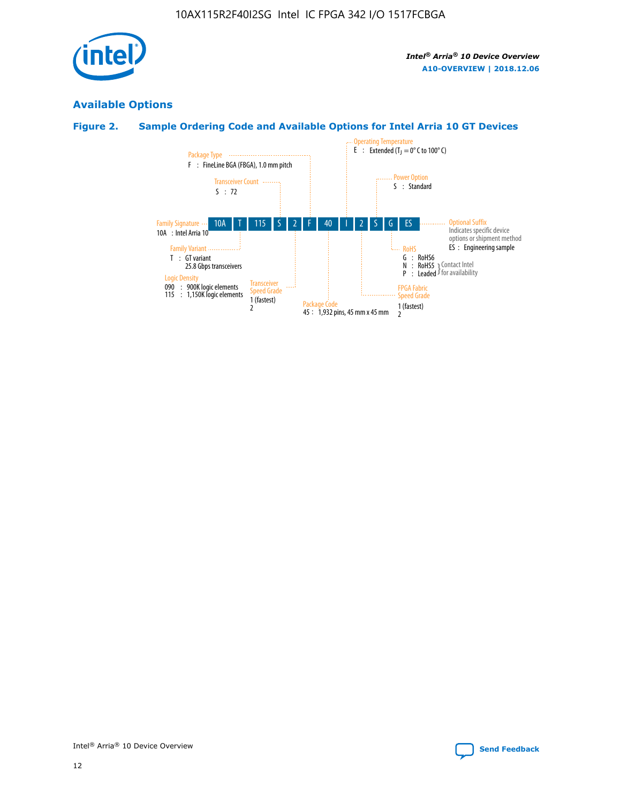

# **Available Options**

# **Figure 2. Sample Ordering Code and Available Options for Intel Arria 10 GT Devices**

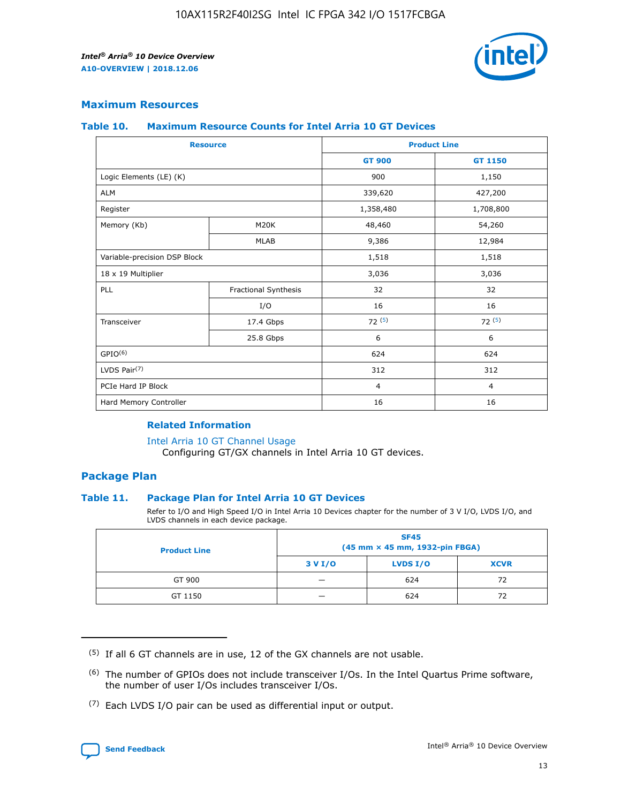

## **Maximum Resources**

#### **Table 10. Maximum Resource Counts for Intel Arria 10 GT Devices**

| <b>Resource</b>              |                      |                | <b>Product Line</b> |  |
|------------------------------|----------------------|----------------|---------------------|--|
|                              |                      | <b>GT 900</b>  | <b>GT 1150</b>      |  |
| Logic Elements (LE) (K)      |                      | 900            | 1,150               |  |
| <b>ALM</b>                   |                      | 339,620        | 427,200             |  |
| Register                     |                      | 1,358,480      | 1,708,800           |  |
| Memory (Kb)                  | M20K                 | 48,460         | 54,260              |  |
|                              | <b>MLAB</b>          | 9,386          | 12,984              |  |
| Variable-precision DSP Block |                      | 1,518          | 1,518               |  |
| 18 x 19 Multiplier           |                      | 3,036          | 3,036               |  |
| <b>PLL</b>                   | Fractional Synthesis | 32             | 32                  |  |
|                              | I/O                  | 16             | 16                  |  |
| Transceiver                  | 17.4 Gbps            | 72(5)          | 72(5)               |  |
|                              | 25.8 Gbps            | 6              | 6                   |  |
| GPIO <sup>(6)</sup>          |                      | 624            | 624                 |  |
| LVDS Pair $(7)$              |                      | 312            | 312                 |  |
| PCIe Hard IP Block           |                      | $\overline{4}$ | $\overline{4}$      |  |
| Hard Memory Controller       |                      | 16             | 16                  |  |

## **Related Information**

#### [Intel Arria 10 GT Channel Usage](https://www.intel.com/content/www/us/en/programmable/documentation/nik1398707230472.html#nik1398707008178)

Configuring GT/GX channels in Intel Arria 10 GT devices.

## **Package Plan**

### **Table 11. Package Plan for Intel Arria 10 GT Devices**

Refer to I/O and High Speed I/O in Intel Arria 10 Devices chapter for the number of 3 V I/O, LVDS I/O, and LVDS channels in each device package.

| <b>Product Line</b> | <b>SF45</b><br>(45 mm × 45 mm, 1932-pin FBGA) |                 |             |  |  |  |
|---------------------|-----------------------------------------------|-----------------|-------------|--|--|--|
|                     | 3 V I/O                                       | <b>LVDS I/O</b> | <b>XCVR</b> |  |  |  |
| GT 900              |                                               | 624             | 72          |  |  |  |
| GT 1150             |                                               | 624             |             |  |  |  |

<sup>(7)</sup> Each LVDS I/O pair can be used as differential input or output.



 $(5)$  If all 6 GT channels are in use, 12 of the GX channels are not usable.

<sup>(6)</sup> The number of GPIOs does not include transceiver I/Os. In the Intel Quartus Prime software, the number of user I/Os includes transceiver I/Os.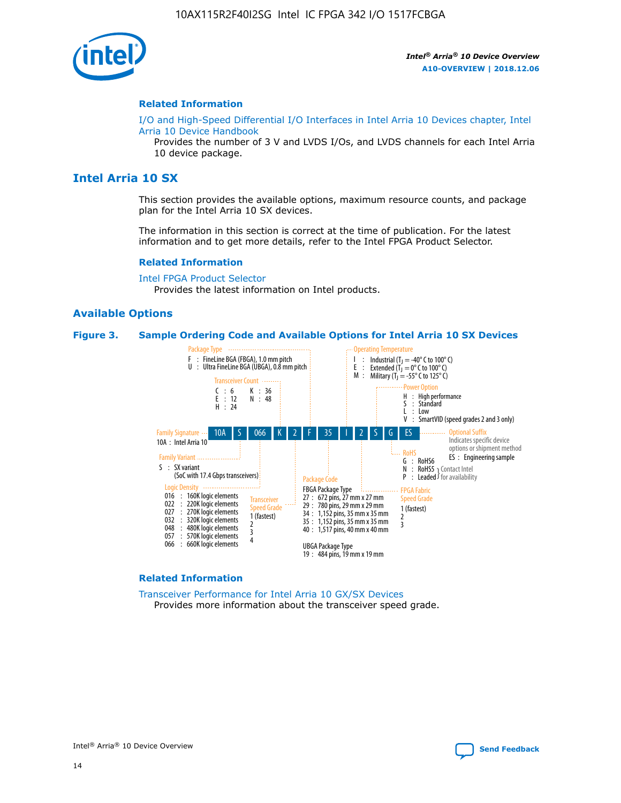

#### **Related Information**

[I/O and High-Speed Differential I/O Interfaces in Intel Arria 10 Devices chapter, Intel](https://www.intel.com/content/www/us/en/programmable/documentation/sam1403482614086.html#sam1403482030321) [Arria 10 Device Handbook](https://www.intel.com/content/www/us/en/programmable/documentation/sam1403482614086.html#sam1403482030321)

Provides the number of 3 V and LVDS I/Os, and LVDS channels for each Intel Arria 10 device package.

# **Intel Arria 10 SX**

This section provides the available options, maximum resource counts, and package plan for the Intel Arria 10 SX devices.

The information in this section is correct at the time of publication. For the latest information and to get more details, refer to the Intel FPGA Product Selector.

#### **Related Information**

[Intel FPGA Product Selector](http://www.altera.com/products/selector/psg-selector.html) Provides the latest information on Intel products.

### **Available Options**

#### **Figure 3. Sample Ordering Code and Available Options for Intel Arria 10 SX Devices**



#### **Related Information**

[Transceiver Performance for Intel Arria 10 GX/SX Devices](https://www.intel.com/content/www/us/en/programmable/documentation/mcn1413182292568.html#mcn1413213965502) Provides more information about the transceiver speed grade.

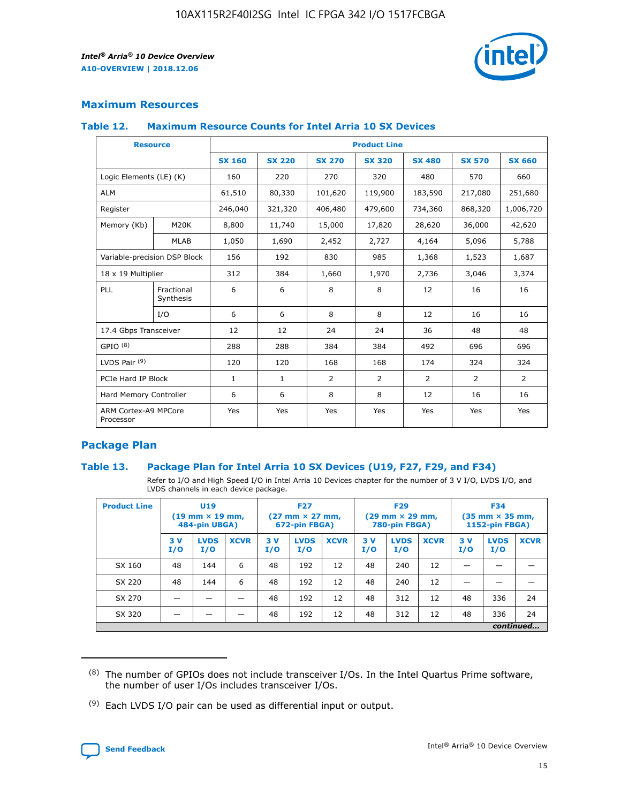

# **Maximum Resources**

#### **Table 12. Maximum Resource Counts for Intel Arria 10 SX Devices**

| <b>Resource</b>                   |                         | <b>Product Line</b> |               |                |                |                |                |                |  |  |  |
|-----------------------------------|-------------------------|---------------------|---------------|----------------|----------------|----------------|----------------|----------------|--|--|--|
|                                   |                         | <b>SX 160</b>       | <b>SX 220</b> | <b>SX 270</b>  | <b>SX 320</b>  | <b>SX 480</b>  | <b>SX 570</b>  | <b>SX 660</b>  |  |  |  |
| Logic Elements (LE) (K)           |                         | 160                 | 220           | 270            | 320            | 480            | 570            | 660            |  |  |  |
| <b>ALM</b>                        |                         | 61,510              | 80,330        | 101,620        | 119,900        | 183,590        | 217,080        | 251,680        |  |  |  |
| Register                          |                         | 246,040             | 321,320       | 406,480        | 479,600        | 734,360        | 868,320        | 1,006,720      |  |  |  |
| Memory (Kb)                       | M <sub>20</sub> K       | 8,800               | 11,740        | 15,000         | 17,820         | 28,620         | 36,000         | 42,620         |  |  |  |
|                                   | <b>MLAB</b>             | 1,050               | 1,690         | 2,452          | 2,727          | 4,164          | 5,096          | 5,788          |  |  |  |
| Variable-precision DSP Block      |                         | 156                 | 192           | 830            | 985            | 1,368          | 1,523          | 1,687          |  |  |  |
| 18 x 19 Multiplier                |                         | 312                 | 384           | 1,660          | 1,970          | 2,736          | 3,046          | 3,374          |  |  |  |
| PLL                               | Fractional<br>Synthesis | 6                   | 6             | 8              | 8              | 12             | 16             | 16             |  |  |  |
|                                   | I/O                     | 6                   | 6             | 8              | 8              | 12             | 16             | 16             |  |  |  |
| 17.4 Gbps Transceiver             |                         | 12                  | 12            | 24             | 24             | 36             | 48             | 48             |  |  |  |
| GPIO <sup>(8)</sup>               |                         | 288                 | 288           | 384            | 384            | 492            | 696            | 696            |  |  |  |
| LVDS Pair $(9)$                   |                         | 120                 | 120           | 168            | 168            | 174            | 324            | 324            |  |  |  |
| PCIe Hard IP Block                |                         | $\mathbf{1}$        | $\mathbf{1}$  | $\overline{2}$ | $\overline{2}$ | $\overline{2}$ | $\overline{2}$ | $\overline{2}$ |  |  |  |
| Hard Memory Controller            |                         | 6                   | 6             | 8              | 8              | 12             | 16             | 16             |  |  |  |
| ARM Cortex-A9 MPCore<br>Processor |                         | Yes                 | Yes           | Yes            | Yes            | Yes            | Yes            | <b>Yes</b>     |  |  |  |

# **Package Plan**

### **Table 13. Package Plan for Intel Arria 10 SX Devices (U19, F27, F29, and F34)**

Refer to I/O and High Speed I/O in Intel Arria 10 Devices chapter for the number of 3 V I/O, LVDS I/O, and LVDS channels in each device package.

| <b>Product Line</b> | <b>U19</b><br>$(19 \text{ mm} \times 19 \text{ mm})$<br>484-pin UBGA) |                    |             | <b>F27</b><br>$(27 \text{ mm} \times 27 \text{ mm})$<br>672-pin FBGA) |                    | <b>F29</b><br>$(29 \text{ mm} \times 29 \text{ mm})$<br>780-pin FBGA) |           |                    | <b>F34</b><br>$(35 \text{ mm} \times 35 \text{ mm})$<br><b>1152-pin FBGA)</b> |           |                    |             |
|---------------------|-----------------------------------------------------------------------|--------------------|-------------|-----------------------------------------------------------------------|--------------------|-----------------------------------------------------------------------|-----------|--------------------|-------------------------------------------------------------------------------|-----------|--------------------|-------------|
|                     | 3V<br>I/O                                                             | <b>LVDS</b><br>I/O | <b>XCVR</b> | 3V<br>I/O                                                             | <b>LVDS</b><br>I/O | <b>XCVR</b>                                                           | 3V<br>I/O | <b>LVDS</b><br>I/O | <b>XCVR</b>                                                                   | 3V<br>I/O | <b>LVDS</b><br>I/O | <b>XCVR</b> |
| SX 160              | 48                                                                    | 144                | 6           | 48                                                                    | 192                | 12                                                                    | 48        | 240                | 12                                                                            | -         |                    |             |
| SX 220              | 48                                                                    | 144                | 6           | 48                                                                    | 192                | 12                                                                    | 48        | 240                | 12                                                                            |           |                    |             |
| SX 270              |                                                                       |                    |             | 48                                                                    | 192                | 12                                                                    | 48        | 312                | 12                                                                            | 48        | 336                | 24          |
| SX 320              |                                                                       |                    |             | 48                                                                    | 192                | 12                                                                    | 48        | 312                | 12                                                                            | 48        | 336                | 24          |
|                     | continued                                                             |                    |             |                                                                       |                    |                                                                       |           |                    |                                                                               |           |                    |             |

 $(8)$  The number of GPIOs does not include transceiver I/Os. In the Intel Quartus Prime software, the number of user I/Os includes transceiver I/Os.

 $(9)$  Each LVDS I/O pair can be used as differential input or output.

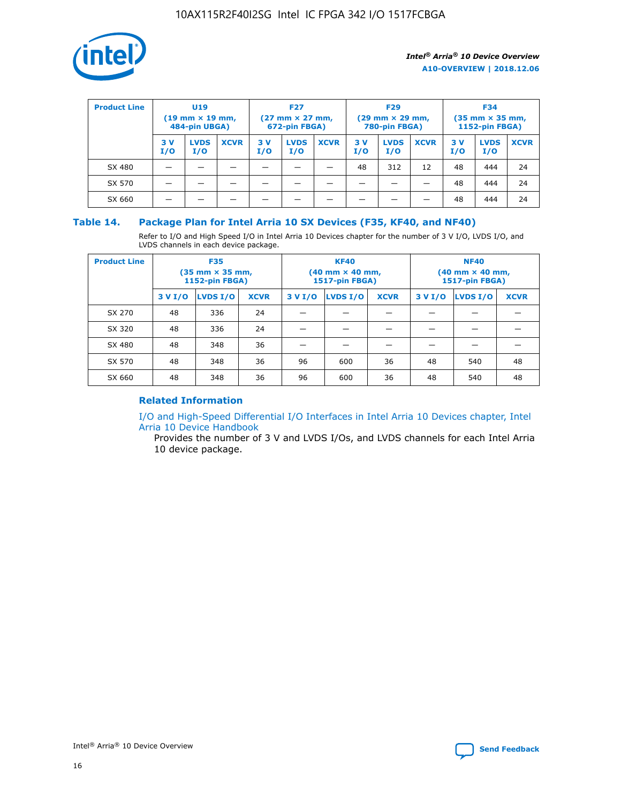

| <b>Product Line</b> | U <sub>19</sub><br>$(19 \text{ mm} \times 19 \text{ mm})$<br>484-pin UBGA) |                    | <b>F27</b><br>$(27 \text{ mm} \times 27 \text{ mm})$<br>672-pin FBGA) |           | <b>F29</b><br>$(29$ mm $\times$ 29 mm,<br>780-pin FBGA) |             |           | <b>F34</b><br>$(35$ mm $\times$ 35 mm,<br><b>1152-pin FBGA)</b> |             |            |                    |             |
|---------------------|----------------------------------------------------------------------------|--------------------|-----------------------------------------------------------------------|-----------|---------------------------------------------------------|-------------|-----------|-----------------------------------------------------------------|-------------|------------|--------------------|-------------|
|                     | 3 V<br>I/O                                                                 | <b>LVDS</b><br>I/O | <b>XCVR</b>                                                           | 3V<br>I/O | <b>LVDS</b><br>I/O                                      | <b>XCVR</b> | 3V<br>I/O | <b>LVDS</b><br>I/O                                              | <b>XCVR</b> | 3 V<br>I/O | <b>LVDS</b><br>I/O | <b>XCVR</b> |
| SX 480              |                                                                            |                    |                                                                       |           |                                                         |             | 48        | 312                                                             | 12          | 48         | 444                | 24          |
| SX 570              |                                                                            |                    |                                                                       |           |                                                         |             |           |                                                                 |             | 48         | 444                | 24          |
| SX 660              |                                                                            |                    |                                                                       |           |                                                         |             |           |                                                                 |             | 48         | 444                | 24          |

## **Table 14. Package Plan for Intel Arria 10 SX Devices (F35, KF40, and NF40)**

Refer to I/O and High Speed I/O in Intel Arria 10 Devices chapter for the number of 3 V I/O, LVDS I/O, and LVDS channels in each device package.

| <b>Product Line</b> | <b>F35</b><br>(35 mm × 35 mm,<br>1152-pin FBGA) |          |             |                                           | <b>KF40</b><br>(40 mm × 40 mm,<br>1517-pin FBGA) |    | <b>NF40</b><br>(40 mm × 40 mm,<br>1517-pin FBGA) |          |             |  |
|---------------------|-------------------------------------------------|----------|-------------|-------------------------------------------|--------------------------------------------------|----|--------------------------------------------------|----------|-------------|--|
|                     | 3 V I/O                                         | LVDS I/O | <b>XCVR</b> | <b>LVDS I/O</b><br>3 V I/O<br><b>XCVR</b> |                                                  |    | 3 V I/O                                          | LVDS I/O | <b>XCVR</b> |  |
| SX 270              | 48                                              | 336      | 24          |                                           |                                                  |    |                                                  |          |             |  |
| SX 320              | 48                                              | 336      | 24          |                                           |                                                  |    |                                                  |          |             |  |
| SX 480              | 48                                              | 348      | 36          |                                           |                                                  |    |                                                  |          |             |  |
| SX 570              | 48                                              | 348      | 36          | 96                                        | 600                                              | 36 | 48                                               | 540      | 48          |  |
| SX 660              | 48                                              | 348      | 36          | 96                                        | 600                                              | 36 | 48                                               | 540      | 48          |  |

# **Related Information**

[I/O and High-Speed Differential I/O Interfaces in Intel Arria 10 Devices chapter, Intel](https://www.intel.com/content/www/us/en/programmable/documentation/sam1403482614086.html#sam1403482030321) [Arria 10 Device Handbook](https://www.intel.com/content/www/us/en/programmable/documentation/sam1403482614086.html#sam1403482030321)

Provides the number of 3 V and LVDS I/Os, and LVDS channels for each Intel Arria 10 device package.

Intel<sup>®</sup> Arria<sup>®</sup> 10 Device Overview **[Send Feedback](mailto:FPGAtechdocfeedback@intel.com?subject=Feedback%20on%20Intel%20Arria%2010%20Device%20Overview%20(A10-OVERVIEW%202018.12.06)&body=We%20appreciate%20your%20feedback.%20In%20your%20comments,%20also%20specify%20the%20page%20number%20or%20paragraph.%20Thank%20you.)** Send Feedback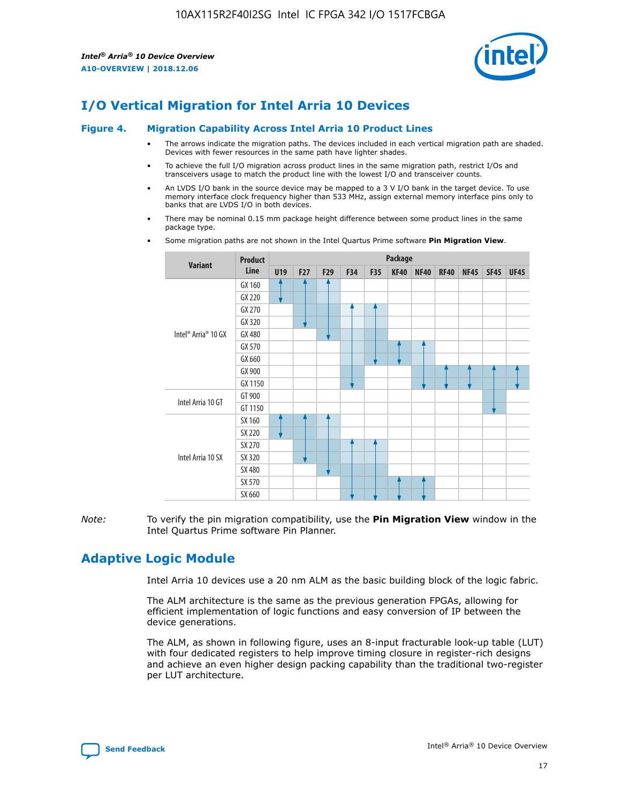

# **I/O Vertical Migration for Intel Arria 10 Devices**

#### **Figure 4. Migration Capability Across Intel Arria 10 Product Lines**

- The arrows indicate the migration paths. The devices included in each vertical migration path are shaded. Devices with fewer resources in the same path have lighter shades.
- To achieve the full I/O migration across product lines in the same migration path, restrict I/Os and transceivers usage to match the product line with the lowest I/O and transceiver counts.
- An LVDS I/O bank in the source device may be mapped to a 3 V I/O bank in the target device. To use memory interface clock frequency higher than 533 MHz, assign external memory interface pins only to banks that are LVDS I/O in both devices.
- There may be nominal 0.15 mm package height difference between some product lines in the same package type.
	- **Variant Product Line Package U19 F27 F29 F34 F35 KF40 NF40 RF40 NF45 SF45 UF45** Intel® Arria® 10 GX GX 160 GX 220 GX 270 GX 320 GX 480 GX 570 GX 660 GX 900 GX 1150 Intel Arria 10 GT GT 900 GT 1150 Intel Arria 10 SX SX 160 SX 220 SX 270 SX 320 SX 480 SX 570 SX 660
- Some migration paths are not shown in the Intel Quartus Prime software **Pin Migration View**.

*Note:* To verify the pin migration compatibility, use the **Pin Migration View** window in the Intel Quartus Prime software Pin Planner.

# **Adaptive Logic Module**

Intel Arria 10 devices use a 20 nm ALM as the basic building block of the logic fabric.

The ALM architecture is the same as the previous generation FPGAs, allowing for efficient implementation of logic functions and easy conversion of IP between the device generations.

The ALM, as shown in following figure, uses an 8-input fracturable look-up table (LUT) with four dedicated registers to help improve timing closure in register-rich designs and achieve an even higher design packing capability than the traditional two-register per LUT architecture.

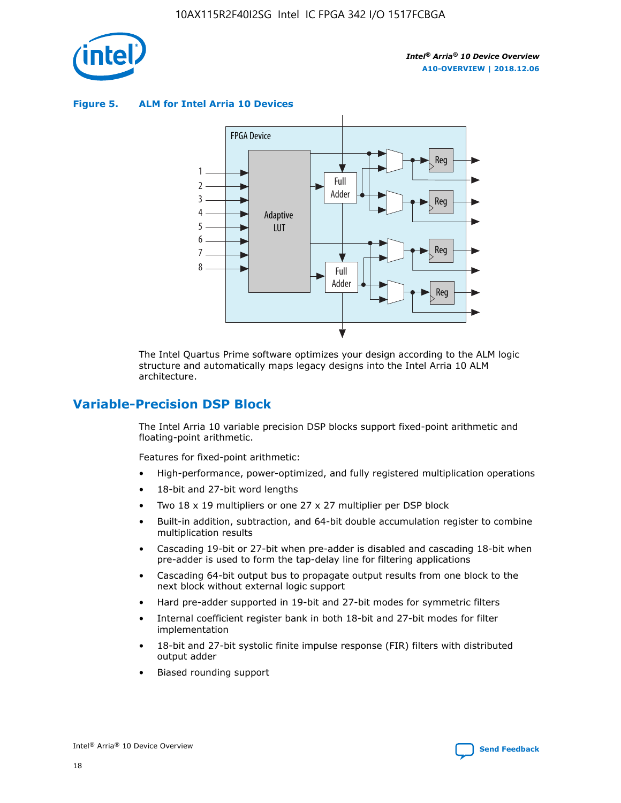

**Figure 5. ALM for Intel Arria 10 Devices**



The Intel Quartus Prime software optimizes your design according to the ALM logic structure and automatically maps legacy designs into the Intel Arria 10 ALM architecture.

# **Variable-Precision DSP Block**

The Intel Arria 10 variable precision DSP blocks support fixed-point arithmetic and floating-point arithmetic.

Features for fixed-point arithmetic:

- High-performance, power-optimized, and fully registered multiplication operations
- 18-bit and 27-bit word lengths
- Two 18 x 19 multipliers or one 27 x 27 multiplier per DSP block
- Built-in addition, subtraction, and 64-bit double accumulation register to combine multiplication results
- Cascading 19-bit or 27-bit when pre-adder is disabled and cascading 18-bit when pre-adder is used to form the tap-delay line for filtering applications
- Cascading 64-bit output bus to propagate output results from one block to the next block without external logic support
- Hard pre-adder supported in 19-bit and 27-bit modes for symmetric filters
- Internal coefficient register bank in both 18-bit and 27-bit modes for filter implementation
- 18-bit and 27-bit systolic finite impulse response (FIR) filters with distributed output adder
- Biased rounding support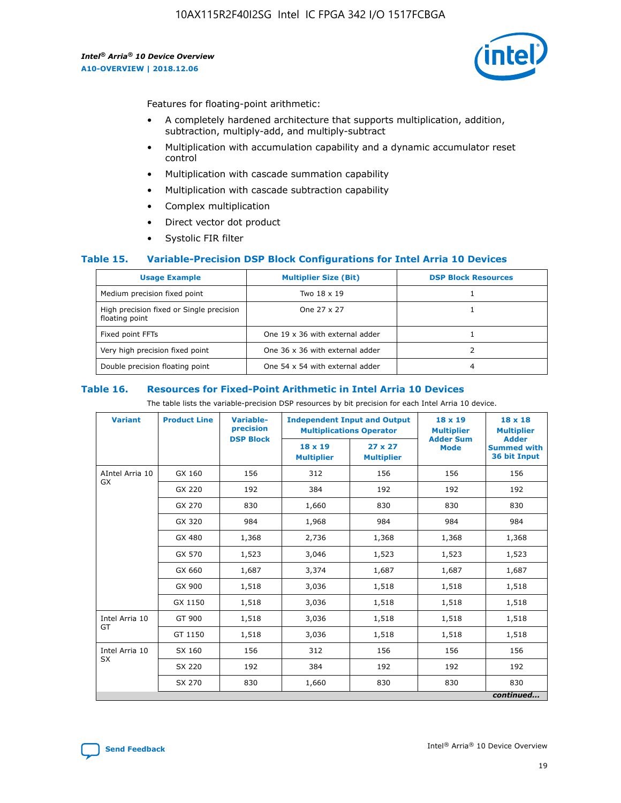

Features for floating-point arithmetic:

- A completely hardened architecture that supports multiplication, addition, subtraction, multiply-add, and multiply-subtract
- Multiplication with accumulation capability and a dynamic accumulator reset control
- Multiplication with cascade summation capability
- Multiplication with cascade subtraction capability
- Complex multiplication
- Direct vector dot product
- Systolic FIR filter

### **Table 15. Variable-Precision DSP Block Configurations for Intel Arria 10 Devices**

| <b>Usage Example</b>                                       | <b>Multiplier Size (Bit)</b>    | <b>DSP Block Resources</b> |
|------------------------------------------------------------|---------------------------------|----------------------------|
| Medium precision fixed point                               | Two 18 x 19                     |                            |
| High precision fixed or Single precision<br>floating point | One 27 x 27                     |                            |
| Fixed point FFTs                                           | One 19 x 36 with external adder |                            |
| Very high precision fixed point                            | One 36 x 36 with external adder |                            |
| Double precision floating point                            | One 54 x 54 with external adder | 4                          |

#### **Table 16. Resources for Fixed-Point Arithmetic in Intel Arria 10 Devices**

The table lists the variable-precision DSP resources by bit precision for each Intel Arria 10 device.

| <b>Variant</b>  | <b>Product Line</b> | Variable-<br>precision<br><b>DSP Block</b> | <b>Independent Input and Output</b><br><b>Multiplications Operator</b> |                                     | 18 x 19<br><b>Multiplier</b><br><b>Adder Sum</b> | $18 \times 18$<br><b>Multiplier</b><br><b>Adder</b> |
|-----------------|---------------------|--------------------------------------------|------------------------------------------------------------------------|-------------------------------------|--------------------------------------------------|-----------------------------------------------------|
|                 |                     |                                            | 18 x 19<br><b>Multiplier</b>                                           | $27 \times 27$<br><b>Multiplier</b> | <b>Mode</b>                                      | <b>Summed with</b><br>36 bit Input                  |
| AIntel Arria 10 | GX 160              | 156                                        | 312                                                                    | 156                                 | 156                                              | 156                                                 |
| GX              | GX 220              | 192                                        | 384                                                                    | 192                                 | 192                                              | 192                                                 |
|                 | GX 270              | 830                                        | 1,660                                                                  | 830                                 | 830                                              | 830                                                 |
|                 | GX 320              | 984                                        | 1,968                                                                  | 984                                 | 984                                              | 984                                                 |
|                 | GX 480              | 1,368                                      | 2,736                                                                  | 1,368                               | 1,368                                            | 1,368                                               |
|                 | GX 570              | 1,523                                      | 3,046                                                                  | 1,523                               | 1,523                                            | 1,523                                               |
|                 | GX 660              | 1,687                                      | 3,374                                                                  | 1,687                               | 1,687                                            | 1,687                                               |
|                 | GX 900              | 1,518                                      | 3,036                                                                  | 1,518                               | 1,518                                            | 1,518                                               |
|                 | GX 1150             | 1,518                                      | 3,036                                                                  | 1,518                               | 1,518                                            | 1,518                                               |
| Intel Arria 10  | GT 900              | 1,518                                      | 3,036                                                                  | 1,518                               | 1,518                                            | 1,518                                               |
| GT              | GT 1150             | 1,518                                      | 3,036                                                                  | 1,518                               | 1,518                                            | 1,518                                               |
| Intel Arria 10  | SX 160              | 156                                        | 312                                                                    | 156                                 | 156                                              | 156                                                 |
| <b>SX</b>       | SX 220              | 192                                        | 384                                                                    | 192                                 | 192                                              | 192                                                 |
|                 | SX 270              | 830                                        | 1,660                                                                  | 830                                 | 830                                              | 830                                                 |
|                 |                     |                                            |                                                                        |                                     |                                                  | continued                                           |

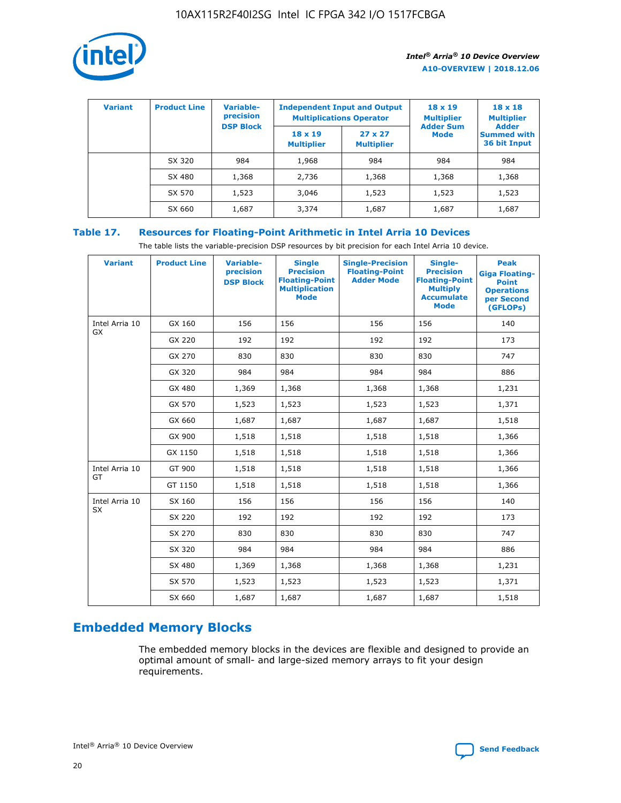

| <b>Variant</b> | <b>Product Line</b> | Variable-<br>precision | <b>Multiplications Operator</b>     | <b>Independent Input and Output</b> | $18 \times 19$<br><b>Multiplier</b> | $18 \times 18$<br><b>Multiplier</b><br><b>Adder</b> |  |
|----------------|---------------------|------------------------|-------------------------------------|-------------------------------------|-------------------------------------|-----------------------------------------------------|--|
|                |                     | <b>DSP Block</b>       | $18 \times 19$<br><b>Multiplier</b> | $27 \times 27$<br><b>Multiplier</b> | <b>Adder Sum</b><br><b>Mode</b>     | <b>Summed with</b><br>36 bit Input                  |  |
|                | SX 320              | 984                    | 1,968                               | 984                                 | 984                                 | 984                                                 |  |
|                | SX 480              | 1,368                  | 2,736                               | 1,368                               | 1,368                               | 1,368                                               |  |
|                | SX 570              | 1,523                  | 3,046                               | 1,523                               | 1,523                               | 1,523                                               |  |
|                | SX 660              | 1,687                  | 3,374                               | 1,687                               | 1,687                               | 1,687                                               |  |

# **Table 17. Resources for Floating-Point Arithmetic in Intel Arria 10 Devices**

The table lists the variable-precision DSP resources by bit precision for each Intel Arria 10 device.

| <b>Variant</b> | <b>Product Line</b> | <b>Variable-</b><br>precision<br><b>DSP Block</b> | <b>Single</b><br><b>Precision</b><br><b>Floating-Point</b><br><b>Multiplication</b><br><b>Mode</b> | <b>Single-Precision</b><br><b>Floating-Point</b><br><b>Adder Mode</b> | Single-<br><b>Precision</b><br><b>Floating-Point</b><br><b>Multiply</b><br><b>Accumulate</b><br><b>Mode</b> | <b>Peak</b><br><b>Giga Floating-</b><br><b>Point</b><br><b>Operations</b><br>per Second<br>(GFLOPs) |
|----------------|---------------------|---------------------------------------------------|----------------------------------------------------------------------------------------------------|-----------------------------------------------------------------------|-------------------------------------------------------------------------------------------------------------|-----------------------------------------------------------------------------------------------------|
| Intel Arria 10 | GX 160              | 156                                               | 156                                                                                                | 156                                                                   | 156                                                                                                         | 140                                                                                                 |
| GX             | GX 220              | 192                                               | 192                                                                                                | 192                                                                   | 192                                                                                                         | 173                                                                                                 |
|                | GX 270              | 830                                               | 830                                                                                                | 830                                                                   | 830                                                                                                         | 747                                                                                                 |
|                | GX 320              | 984                                               | 984                                                                                                | 984                                                                   | 984                                                                                                         | 886                                                                                                 |
|                | GX 480              | 1,369                                             | 1,368                                                                                              | 1,368                                                                 | 1,368                                                                                                       | 1,231                                                                                               |
|                | GX 570              | 1,523                                             | 1,523                                                                                              | 1,523                                                                 | 1,523                                                                                                       | 1,371                                                                                               |
|                | GX 660              | 1,687                                             | 1,687                                                                                              | 1,687                                                                 | 1,687                                                                                                       | 1,518                                                                                               |
|                | GX 900              | 1,518                                             | 1,518                                                                                              | 1,518                                                                 | 1,518                                                                                                       | 1,366                                                                                               |
|                | GX 1150             | 1,518                                             | 1,518                                                                                              | 1,518                                                                 | 1,518                                                                                                       | 1,366                                                                                               |
| Intel Arria 10 | GT 900              | 1,518                                             | 1,518                                                                                              | 1,518                                                                 | 1,518                                                                                                       | 1,366                                                                                               |
| GT             | GT 1150             | 1,518                                             | 1,518                                                                                              | 1,518                                                                 | 1,518                                                                                                       | 1,366                                                                                               |
| Intel Arria 10 | SX 160              | 156                                               | 156                                                                                                | 156                                                                   | 156                                                                                                         | 140                                                                                                 |
| <b>SX</b>      | SX 220              | 192                                               | 192                                                                                                | 192                                                                   | 192                                                                                                         | 173                                                                                                 |
|                | SX 270              | 830                                               | 830                                                                                                | 830                                                                   | 830                                                                                                         | 747                                                                                                 |
|                | SX 320              | 984                                               | 984                                                                                                | 984                                                                   | 984                                                                                                         | 886                                                                                                 |
|                | SX 480              | 1,369                                             | 1,368                                                                                              | 1,368                                                                 | 1,368                                                                                                       | 1,231                                                                                               |
|                | SX 570              | 1,523                                             | 1,523                                                                                              | 1,523                                                                 | 1,523                                                                                                       | 1,371                                                                                               |
|                | SX 660              | 1,687                                             | 1,687                                                                                              | 1,687                                                                 | 1,687                                                                                                       | 1,518                                                                                               |

# **Embedded Memory Blocks**

The embedded memory blocks in the devices are flexible and designed to provide an optimal amount of small- and large-sized memory arrays to fit your design requirements.

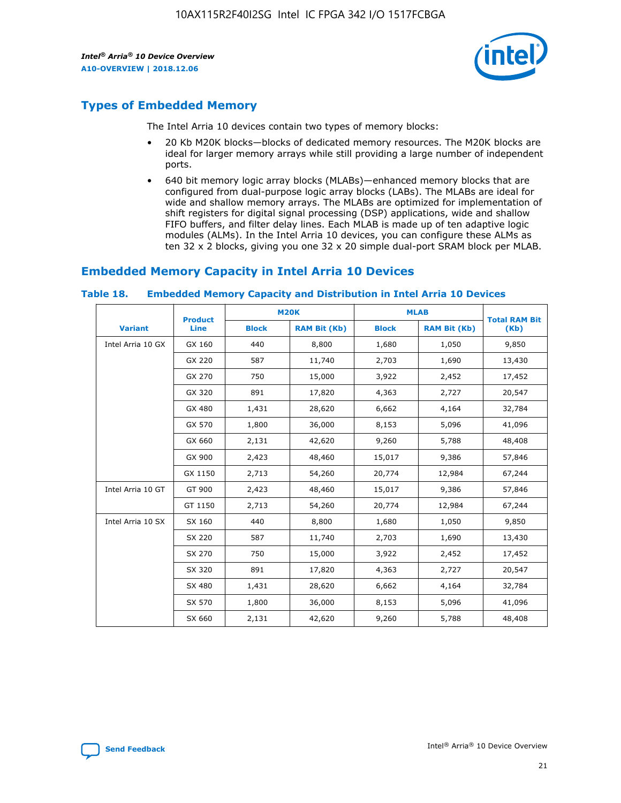

# **Types of Embedded Memory**

The Intel Arria 10 devices contain two types of memory blocks:

- 20 Kb M20K blocks—blocks of dedicated memory resources. The M20K blocks are ideal for larger memory arrays while still providing a large number of independent ports.
- 640 bit memory logic array blocks (MLABs)—enhanced memory blocks that are configured from dual-purpose logic array blocks (LABs). The MLABs are ideal for wide and shallow memory arrays. The MLABs are optimized for implementation of shift registers for digital signal processing (DSP) applications, wide and shallow FIFO buffers, and filter delay lines. Each MLAB is made up of ten adaptive logic modules (ALMs). In the Intel Arria 10 devices, you can configure these ALMs as ten 32 x 2 blocks, giving you one 32 x 20 simple dual-port SRAM block per MLAB.

# **Embedded Memory Capacity in Intel Arria 10 Devices**

|                   | <b>Product</b> |              | <b>M20K</b>         | <b>MLAB</b>  |                     | <b>Total RAM Bit</b> |
|-------------------|----------------|--------------|---------------------|--------------|---------------------|----------------------|
| <b>Variant</b>    | <b>Line</b>    | <b>Block</b> | <b>RAM Bit (Kb)</b> | <b>Block</b> | <b>RAM Bit (Kb)</b> | (Kb)                 |
| Intel Arria 10 GX | GX 160         | 440          | 8,800               | 1,680        | 1,050               | 9,850                |
|                   | GX 220         | 587          | 11,740              | 2,703        | 1,690               | 13,430               |
|                   | GX 270         | 750          | 15,000              | 3,922        | 2,452               | 17,452               |
|                   | GX 320         | 891          | 17,820              | 4,363        | 2,727               | 20,547               |
|                   | GX 480         | 1,431        | 28,620              | 6,662        | 4,164               | 32,784               |
|                   | GX 570         | 1,800        | 36,000              | 8,153        | 5,096               | 41,096               |
|                   | GX 660         | 2,131        | 42,620              | 9,260        | 5,788               | 48,408               |
|                   | GX 900         | 2,423        | 48,460              | 15,017       | 9,386               | 57,846               |
|                   | GX 1150        | 2,713        | 54,260              | 20,774       | 12,984              | 67,244               |
| Intel Arria 10 GT | GT 900         | 2,423        | 48,460              | 15,017       | 9,386               | 57,846               |
|                   | GT 1150        | 2,713        | 54,260              | 20,774       | 12,984              | 67,244               |
| Intel Arria 10 SX | SX 160         | 440          | 8,800               | 1,680        | 1,050               | 9,850                |
|                   | SX 220         | 587          | 11,740              | 2,703        | 1,690               | 13,430               |
|                   | SX 270         | 750          | 15,000              | 3,922        | 2,452               | 17,452               |
|                   | SX 320         | 891          | 17,820              | 4,363        | 2,727               | 20,547               |
|                   | SX 480         | 1,431        | 28,620              | 6,662        | 4,164               | 32,784               |
|                   | SX 570         | 1,800        | 36,000              | 8,153        | 5,096               | 41,096               |
|                   | SX 660         | 2,131        | 42,620              | 9,260        | 5,788               | 48,408               |

#### **Table 18. Embedded Memory Capacity and Distribution in Intel Arria 10 Devices**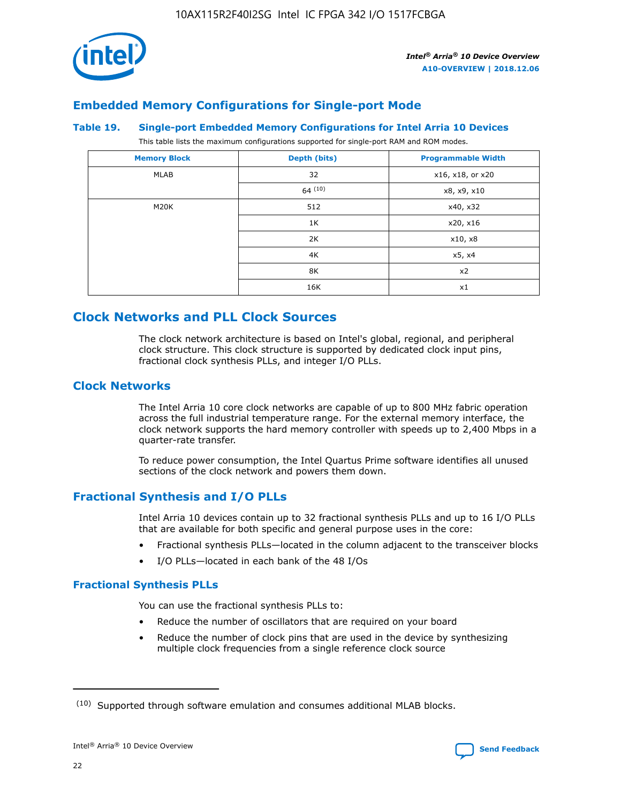

# **Embedded Memory Configurations for Single-port Mode**

#### **Table 19. Single-port Embedded Memory Configurations for Intel Arria 10 Devices**

This table lists the maximum configurations supported for single-port RAM and ROM modes.

| <b>Memory Block</b> | Depth (bits) | <b>Programmable Width</b> |
|---------------------|--------------|---------------------------|
| MLAB                | 32           | x16, x18, or x20          |
|                     | 64(10)       | x8, x9, x10               |
| M20K                | 512          | x40, x32                  |
|                     | 1K           | x20, x16                  |
|                     | 2K           | x10, x8                   |
|                     | 4K           | x5, x4                    |
|                     | 8K           | x2                        |
|                     | 16K          | x1                        |

# **Clock Networks and PLL Clock Sources**

The clock network architecture is based on Intel's global, regional, and peripheral clock structure. This clock structure is supported by dedicated clock input pins, fractional clock synthesis PLLs, and integer I/O PLLs.

# **Clock Networks**

The Intel Arria 10 core clock networks are capable of up to 800 MHz fabric operation across the full industrial temperature range. For the external memory interface, the clock network supports the hard memory controller with speeds up to 2,400 Mbps in a quarter-rate transfer.

To reduce power consumption, the Intel Quartus Prime software identifies all unused sections of the clock network and powers them down.

# **Fractional Synthesis and I/O PLLs**

Intel Arria 10 devices contain up to 32 fractional synthesis PLLs and up to 16 I/O PLLs that are available for both specific and general purpose uses in the core:

- Fractional synthesis PLLs—located in the column adjacent to the transceiver blocks
- I/O PLLs—located in each bank of the 48 I/Os

# **Fractional Synthesis PLLs**

You can use the fractional synthesis PLLs to:

- Reduce the number of oscillators that are required on your board
- Reduce the number of clock pins that are used in the device by synthesizing multiple clock frequencies from a single reference clock source

<sup>(10)</sup> Supported through software emulation and consumes additional MLAB blocks.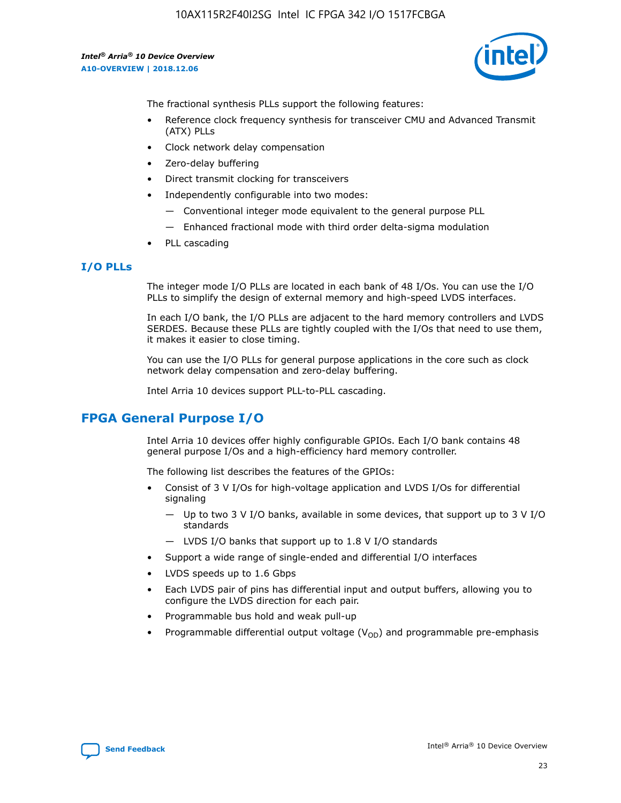

The fractional synthesis PLLs support the following features:

- Reference clock frequency synthesis for transceiver CMU and Advanced Transmit (ATX) PLLs
- Clock network delay compensation
- Zero-delay buffering
- Direct transmit clocking for transceivers
- Independently configurable into two modes:
	- Conventional integer mode equivalent to the general purpose PLL
	- Enhanced fractional mode with third order delta-sigma modulation
- PLL cascading

### **I/O PLLs**

The integer mode I/O PLLs are located in each bank of 48 I/Os. You can use the I/O PLLs to simplify the design of external memory and high-speed LVDS interfaces.

In each I/O bank, the I/O PLLs are adjacent to the hard memory controllers and LVDS SERDES. Because these PLLs are tightly coupled with the I/Os that need to use them, it makes it easier to close timing.

You can use the I/O PLLs for general purpose applications in the core such as clock network delay compensation and zero-delay buffering.

Intel Arria 10 devices support PLL-to-PLL cascading.

# **FPGA General Purpose I/O**

Intel Arria 10 devices offer highly configurable GPIOs. Each I/O bank contains 48 general purpose I/Os and a high-efficiency hard memory controller.

The following list describes the features of the GPIOs:

- Consist of 3 V I/Os for high-voltage application and LVDS I/Os for differential signaling
	- Up to two 3 V I/O banks, available in some devices, that support up to 3 V I/O standards
	- LVDS I/O banks that support up to 1.8 V I/O standards
- Support a wide range of single-ended and differential I/O interfaces
- LVDS speeds up to 1.6 Gbps
- Each LVDS pair of pins has differential input and output buffers, allowing you to configure the LVDS direction for each pair.
- Programmable bus hold and weak pull-up
- Programmable differential output voltage  $(V_{OD})$  and programmable pre-emphasis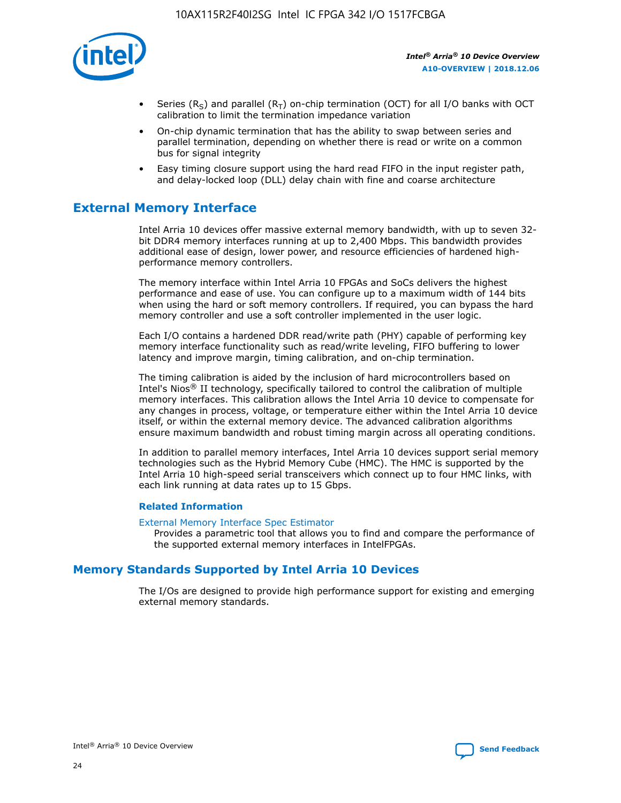

- Series (R<sub>S</sub>) and parallel (R<sub>T</sub>) on-chip termination (OCT) for all I/O banks with OCT calibration to limit the termination impedance variation
- On-chip dynamic termination that has the ability to swap between series and parallel termination, depending on whether there is read or write on a common bus for signal integrity
- Easy timing closure support using the hard read FIFO in the input register path, and delay-locked loop (DLL) delay chain with fine and coarse architecture

# **External Memory Interface**

Intel Arria 10 devices offer massive external memory bandwidth, with up to seven 32 bit DDR4 memory interfaces running at up to 2,400 Mbps. This bandwidth provides additional ease of design, lower power, and resource efficiencies of hardened highperformance memory controllers.

The memory interface within Intel Arria 10 FPGAs and SoCs delivers the highest performance and ease of use. You can configure up to a maximum width of 144 bits when using the hard or soft memory controllers. If required, you can bypass the hard memory controller and use a soft controller implemented in the user logic.

Each I/O contains a hardened DDR read/write path (PHY) capable of performing key memory interface functionality such as read/write leveling, FIFO buffering to lower latency and improve margin, timing calibration, and on-chip termination.

The timing calibration is aided by the inclusion of hard microcontrollers based on Intel's Nios® II technology, specifically tailored to control the calibration of multiple memory interfaces. This calibration allows the Intel Arria 10 device to compensate for any changes in process, voltage, or temperature either within the Intel Arria 10 device itself, or within the external memory device. The advanced calibration algorithms ensure maximum bandwidth and robust timing margin across all operating conditions.

In addition to parallel memory interfaces, Intel Arria 10 devices support serial memory technologies such as the Hybrid Memory Cube (HMC). The HMC is supported by the Intel Arria 10 high-speed serial transceivers which connect up to four HMC links, with each link running at data rates up to 15 Gbps.

### **Related Information**

#### [External Memory Interface Spec Estimator](http://www.altera.com/technology/memory/estimator/mem-emif-index.html)

Provides a parametric tool that allows you to find and compare the performance of the supported external memory interfaces in IntelFPGAs.

# **Memory Standards Supported by Intel Arria 10 Devices**

The I/Os are designed to provide high performance support for existing and emerging external memory standards.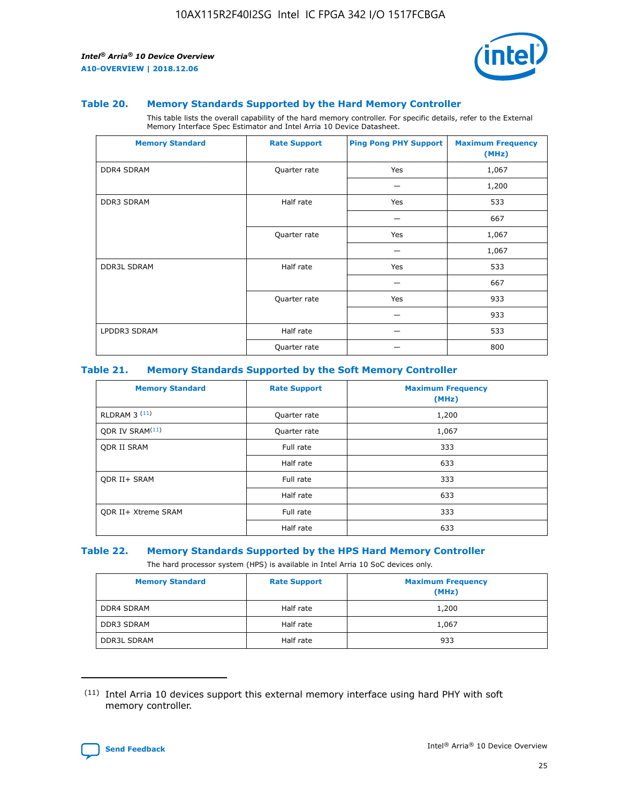

#### **Table 20. Memory Standards Supported by the Hard Memory Controller**

This table lists the overall capability of the hard memory controller. For specific details, refer to the External Memory Interface Spec Estimator and Intel Arria 10 Device Datasheet.

| <b>Memory Standard</b> | <b>Rate Support</b> | <b>Ping Pong PHY Support</b> | <b>Maximum Frequency</b><br>(MHz) |
|------------------------|---------------------|------------------------------|-----------------------------------|
| <b>DDR4 SDRAM</b>      | Quarter rate        | Yes                          | 1,067                             |
|                        |                     |                              | 1,200                             |
| <b>DDR3 SDRAM</b>      | Half rate           | Yes                          | 533                               |
|                        |                     |                              | 667                               |
|                        | Quarter rate        | Yes                          | 1,067                             |
|                        |                     |                              | 1,067                             |
| <b>DDR3L SDRAM</b>     | Half rate           | Yes                          | 533                               |
|                        |                     |                              | 667                               |
|                        | Quarter rate        | Yes                          | 933                               |
|                        |                     |                              | 933                               |
| LPDDR3 SDRAM           | Half rate           |                              | 533                               |
|                        | Quarter rate        |                              | 800                               |

### **Table 21. Memory Standards Supported by the Soft Memory Controller**

| <b>Memory Standard</b>      | <b>Rate Support</b> | <b>Maximum Frequency</b><br>(MHz) |
|-----------------------------|---------------------|-----------------------------------|
| <b>RLDRAM 3 (11)</b>        | Quarter rate        | 1,200                             |
| ODR IV SRAM <sup>(11)</sup> | Quarter rate        | 1,067                             |
| <b>ODR II SRAM</b>          | Full rate           | 333                               |
|                             | Half rate           | 633                               |
| <b>ODR II+ SRAM</b>         | Full rate           | 333                               |
|                             | Half rate           | 633                               |
| <b>ODR II+ Xtreme SRAM</b>  | Full rate           | 333                               |
|                             | Half rate           | 633                               |

#### **Table 22. Memory Standards Supported by the HPS Hard Memory Controller**

The hard processor system (HPS) is available in Intel Arria 10 SoC devices only.

| <b>Memory Standard</b> | <b>Rate Support</b> | <b>Maximum Frequency</b><br>(MHz) |
|------------------------|---------------------|-----------------------------------|
| <b>DDR4 SDRAM</b>      | Half rate           | 1,200                             |
| <b>DDR3 SDRAM</b>      | Half rate           | 1,067                             |
| <b>DDR3L SDRAM</b>     | Half rate           | 933                               |

<sup>(11)</sup> Intel Arria 10 devices support this external memory interface using hard PHY with soft memory controller.

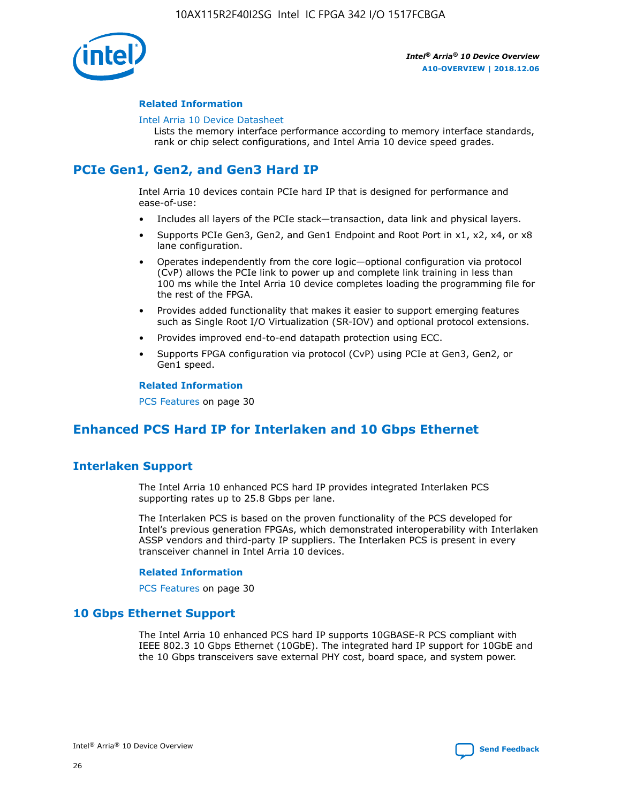

### **Related Information**

#### [Intel Arria 10 Device Datasheet](https://www.intel.com/content/www/us/en/programmable/documentation/mcn1413182292568.html#mcn1413182153340)

Lists the memory interface performance according to memory interface standards, rank or chip select configurations, and Intel Arria 10 device speed grades.

# **PCIe Gen1, Gen2, and Gen3 Hard IP**

Intel Arria 10 devices contain PCIe hard IP that is designed for performance and ease-of-use:

- Includes all layers of the PCIe stack—transaction, data link and physical layers.
- Supports PCIe Gen3, Gen2, and Gen1 Endpoint and Root Port in x1, x2, x4, or x8 lane configuration.
- Operates independently from the core logic—optional configuration via protocol (CvP) allows the PCIe link to power up and complete link training in less than 100 ms while the Intel Arria 10 device completes loading the programming file for the rest of the FPGA.
- Provides added functionality that makes it easier to support emerging features such as Single Root I/O Virtualization (SR-IOV) and optional protocol extensions.
- Provides improved end-to-end datapath protection using ECC.
- Supports FPGA configuration via protocol (CvP) using PCIe at Gen3, Gen2, or Gen1 speed.

#### **Related Information**

PCS Features on page 30

# **Enhanced PCS Hard IP for Interlaken and 10 Gbps Ethernet**

# **Interlaken Support**

The Intel Arria 10 enhanced PCS hard IP provides integrated Interlaken PCS supporting rates up to 25.8 Gbps per lane.

The Interlaken PCS is based on the proven functionality of the PCS developed for Intel's previous generation FPGAs, which demonstrated interoperability with Interlaken ASSP vendors and third-party IP suppliers. The Interlaken PCS is present in every transceiver channel in Intel Arria 10 devices.

### **Related Information**

PCS Features on page 30

# **10 Gbps Ethernet Support**

The Intel Arria 10 enhanced PCS hard IP supports 10GBASE-R PCS compliant with IEEE 802.3 10 Gbps Ethernet (10GbE). The integrated hard IP support for 10GbE and the 10 Gbps transceivers save external PHY cost, board space, and system power.

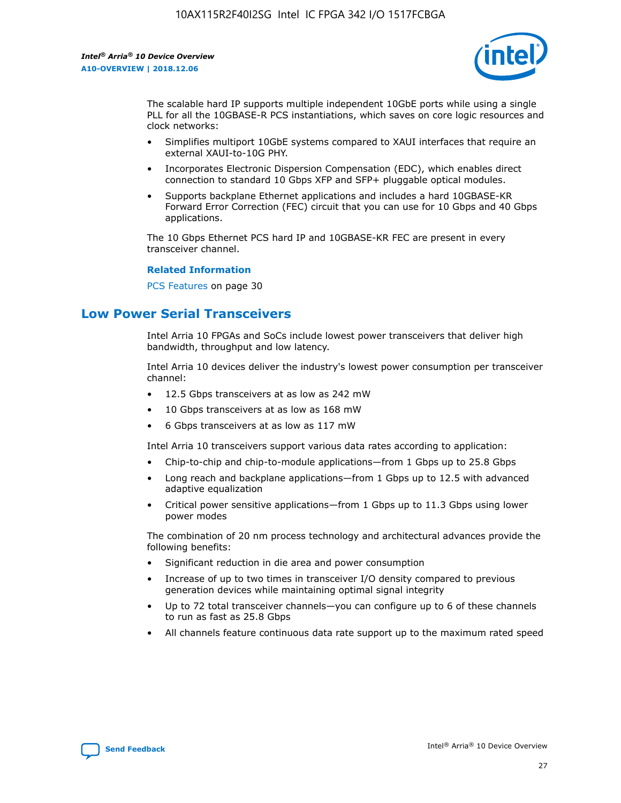

The scalable hard IP supports multiple independent 10GbE ports while using a single PLL for all the 10GBASE-R PCS instantiations, which saves on core logic resources and clock networks:

- Simplifies multiport 10GbE systems compared to XAUI interfaces that require an external XAUI-to-10G PHY.
- Incorporates Electronic Dispersion Compensation (EDC), which enables direct connection to standard 10 Gbps XFP and SFP+ pluggable optical modules.
- Supports backplane Ethernet applications and includes a hard 10GBASE-KR Forward Error Correction (FEC) circuit that you can use for 10 Gbps and 40 Gbps applications.

The 10 Gbps Ethernet PCS hard IP and 10GBASE-KR FEC are present in every transceiver channel.

#### **Related Information**

PCS Features on page 30

# **Low Power Serial Transceivers**

Intel Arria 10 FPGAs and SoCs include lowest power transceivers that deliver high bandwidth, throughput and low latency.

Intel Arria 10 devices deliver the industry's lowest power consumption per transceiver channel:

- 12.5 Gbps transceivers at as low as 242 mW
- 10 Gbps transceivers at as low as 168 mW
- 6 Gbps transceivers at as low as 117 mW

Intel Arria 10 transceivers support various data rates according to application:

- Chip-to-chip and chip-to-module applications—from 1 Gbps up to 25.8 Gbps
- Long reach and backplane applications—from 1 Gbps up to 12.5 with advanced adaptive equalization
- Critical power sensitive applications—from 1 Gbps up to 11.3 Gbps using lower power modes

The combination of 20 nm process technology and architectural advances provide the following benefits:

- Significant reduction in die area and power consumption
- Increase of up to two times in transceiver I/O density compared to previous generation devices while maintaining optimal signal integrity
- Up to 72 total transceiver channels—you can configure up to 6 of these channels to run as fast as 25.8 Gbps
- All channels feature continuous data rate support up to the maximum rated speed

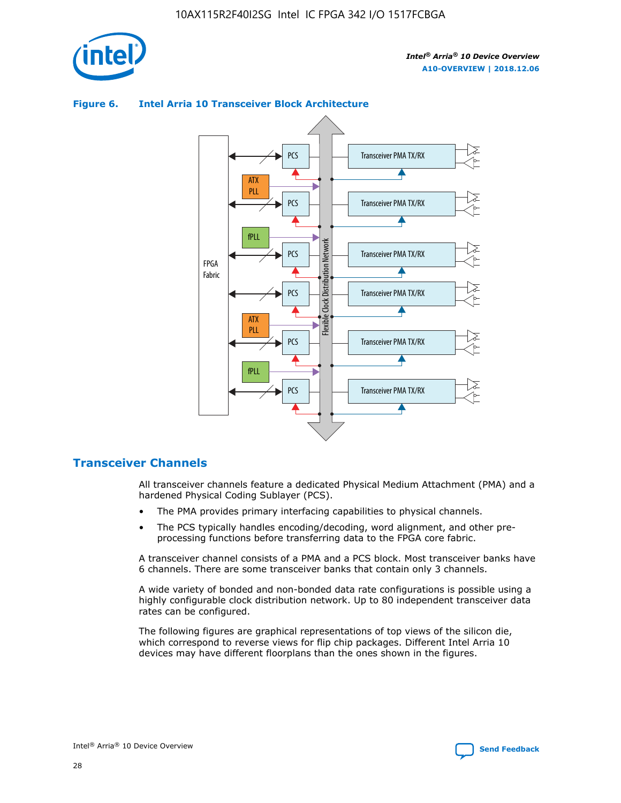



## **Figure 6. Intel Arria 10 Transceiver Block Architecture**

# **Transceiver Channels**

All transceiver channels feature a dedicated Physical Medium Attachment (PMA) and a hardened Physical Coding Sublayer (PCS).

- The PMA provides primary interfacing capabilities to physical channels.
- The PCS typically handles encoding/decoding, word alignment, and other preprocessing functions before transferring data to the FPGA core fabric.

A transceiver channel consists of a PMA and a PCS block. Most transceiver banks have 6 channels. There are some transceiver banks that contain only 3 channels.

A wide variety of bonded and non-bonded data rate configurations is possible using a highly configurable clock distribution network. Up to 80 independent transceiver data rates can be configured.

The following figures are graphical representations of top views of the silicon die, which correspond to reverse views for flip chip packages. Different Intel Arria 10 devices may have different floorplans than the ones shown in the figures.

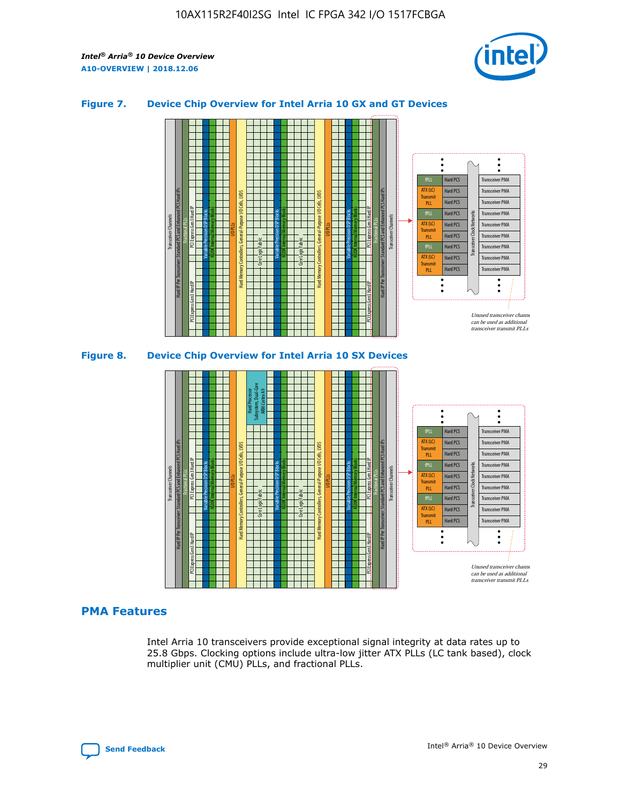

## **Figure 7. Device Chip Overview for Intel Arria 10 GX and GT Devices**





### **PMA Features**

Intel Arria 10 transceivers provide exceptional signal integrity at data rates up to 25.8 Gbps. Clocking options include ultra-low jitter ATX PLLs (LC tank based), clock multiplier unit (CMU) PLLs, and fractional PLLs.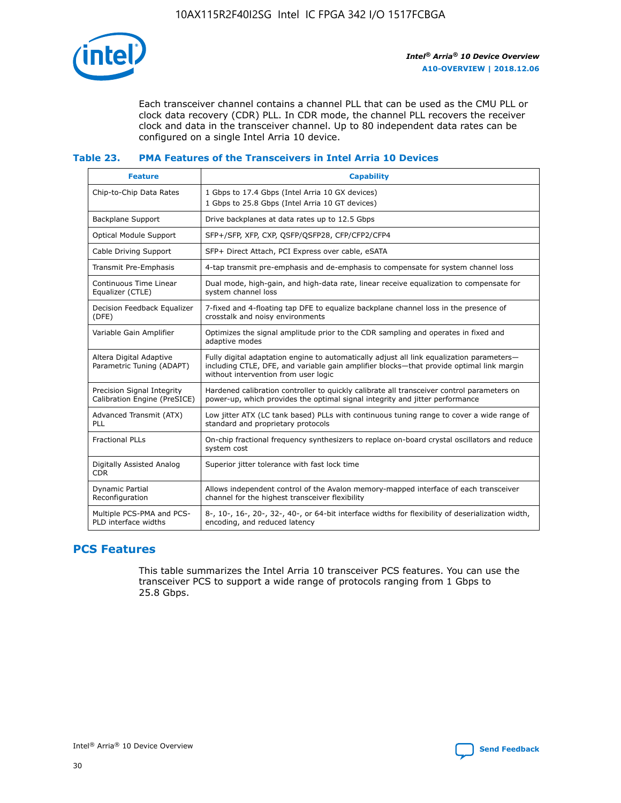

Each transceiver channel contains a channel PLL that can be used as the CMU PLL or clock data recovery (CDR) PLL. In CDR mode, the channel PLL recovers the receiver clock and data in the transceiver channel. Up to 80 independent data rates can be configured on a single Intel Arria 10 device.

## **Table 23. PMA Features of the Transceivers in Intel Arria 10 Devices**

| <b>Feature</b>                                             | <b>Capability</b>                                                                                                                                                                                                             |
|------------------------------------------------------------|-------------------------------------------------------------------------------------------------------------------------------------------------------------------------------------------------------------------------------|
| Chip-to-Chip Data Rates                                    | 1 Gbps to 17.4 Gbps (Intel Arria 10 GX devices)<br>1 Gbps to 25.8 Gbps (Intel Arria 10 GT devices)                                                                                                                            |
| Backplane Support                                          | Drive backplanes at data rates up to 12.5 Gbps                                                                                                                                                                                |
| <b>Optical Module Support</b>                              | SFP+/SFP, XFP, CXP, QSFP/QSFP28, CFP/CFP2/CFP4                                                                                                                                                                                |
| Cable Driving Support                                      | SFP+ Direct Attach, PCI Express over cable, eSATA                                                                                                                                                                             |
| Transmit Pre-Emphasis                                      | 4-tap transmit pre-emphasis and de-emphasis to compensate for system channel loss                                                                                                                                             |
| Continuous Time Linear<br>Equalizer (CTLE)                 | Dual mode, high-gain, and high-data rate, linear receive equalization to compensate for<br>system channel loss                                                                                                                |
| Decision Feedback Equalizer<br>(DFE)                       | 7-fixed and 4-floating tap DFE to equalize backplane channel loss in the presence of<br>crosstalk and noisy environments                                                                                                      |
| Variable Gain Amplifier                                    | Optimizes the signal amplitude prior to the CDR sampling and operates in fixed and<br>adaptive modes                                                                                                                          |
| Altera Digital Adaptive<br>Parametric Tuning (ADAPT)       | Fully digital adaptation engine to automatically adjust all link equalization parameters-<br>including CTLE, DFE, and variable gain amplifier blocks—that provide optimal link margin<br>without intervention from user logic |
| Precision Signal Integrity<br>Calibration Engine (PreSICE) | Hardened calibration controller to quickly calibrate all transceiver control parameters on<br>power-up, which provides the optimal signal integrity and jitter performance                                                    |
| Advanced Transmit (ATX)<br><b>PLL</b>                      | Low jitter ATX (LC tank based) PLLs with continuous tuning range to cover a wide range of<br>standard and proprietary protocols                                                                                               |
| <b>Fractional PLLs</b>                                     | On-chip fractional frequency synthesizers to replace on-board crystal oscillators and reduce<br>system cost                                                                                                                   |
| Digitally Assisted Analog<br><b>CDR</b>                    | Superior jitter tolerance with fast lock time                                                                                                                                                                                 |
| Dynamic Partial<br>Reconfiguration                         | Allows independent control of the Avalon memory-mapped interface of each transceiver<br>channel for the highest transceiver flexibility                                                                                       |
| Multiple PCS-PMA and PCS-<br>PLD interface widths          | 8-, 10-, 16-, 20-, 32-, 40-, or 64-bit interface widths for flexibility of deserialization width,<br>encoding, and reduced latency                                                                                            |

# **PCS Features**

This table summarizes the Intel Arria 10 transceiver PCS features. You can use the transceiver PCS to support a wide range of protocols ranging from 1 Gbps to 25.8 Gbps.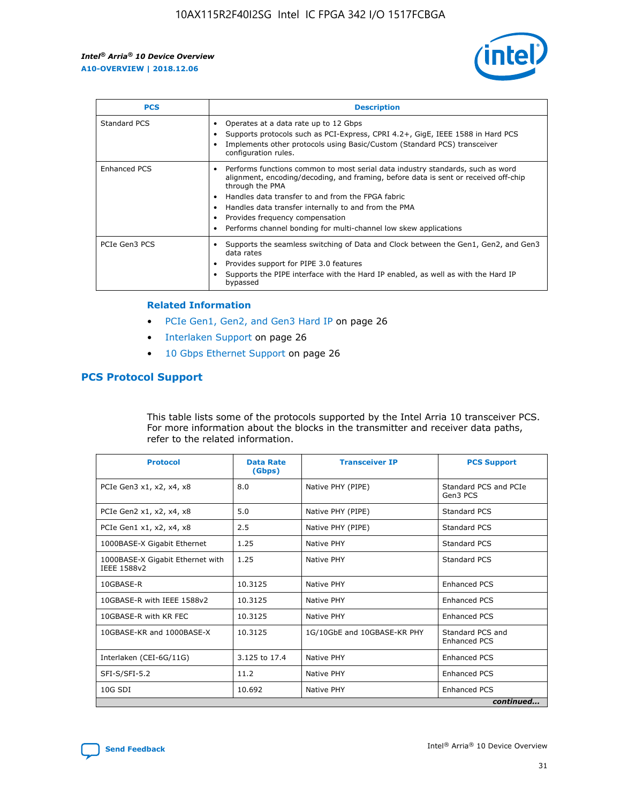

| <b>PCS</b>    | <b>Description</b>                                                                                                                                                                                                                                                                                                                                                                                             |
|---------------|----------------------------------------------------------------------------------------------------------------------------------------------------------------------------------------------------------------------------------------------------------------------------------------------------------------------------------------------------------------------------------------------------------------|
| Standard PCS  | Operates at a data rate up to 12 Gbps<br>Supports protocols such as PCI-Express, CPRI 4.2+, GigE, IEEE 1588 in Hard PCS<br>Implements other protocols using Basic/Custom (Standard PCS) transceiver<br>configuration rules.                                                                                                                                                                                    |
| Enhanced PCS  | Performs functions common to most serial data industry standards, such as word<br>alignment, encoding/decoding, and framing, before data is sent or received off-chip<br>through the PMA<br>• Handles data transfer to and from the FPGA fabric<br>Handles data transfer internally to and from the PMA<br>Provides frequency compensation<br>Performs channel bonding for multi-channel low skew applications |
| PCIe Gen3 PCS | Supports the seamless switching of Data and Clock between the Gen1, Gen2, and Gen3<br>data rates<br>Provides support for PIPE 3.0 features<br>Supports the PIPE interface with the Hard IP enabled, as well as with the Hard IP<br>bypassed                                                                                                                                                                    |

#### **Related Information**

- PCIe Gen1, Gen2, and Gen3 Hard IP on page 26
- Interlaken Support on page 26
- 10 Gbps Ethernet Support on page 26

# **PCS Protocol Support**

This table lists some of the protocols supported by the Intel Arria 10 transceiver PCS. For more information about the blocks in the transmitter and receiver data paths, refer to the related information.

| <b>Protocol</b>                                 | <b>Data Rate</b><br>(Gbps) | <b>Transceiver IP</b>       | <b>PCS Support</b>                      |
|-------------------------------------------------|----------------------------|-----------------------------|-----------------------------------------|
| PCIe Gen3 x1, x2, x4, x8                        | 8.0                        | Native PHY (PIPE)           | Standard PCS and PCIe<br>Gen3 PCS       |
| PCIe Gen2 x1, x2, x4, x8                        | 5.0                        | Native PHY (PIPE)           | <b>Standard PCS</b>                     |
| PCIe Gen1 x1, x2, x4, x8                        | 2.5                        | Native PHY (PIPE)           | Standard PCS                            |
| 1000BASE-X Gigabit Ethernet                     | 1.25                       | Native PHY                  | <b>Standard PCS</b>                     |
| 1000BASE-X Gigabit Ethernet with<br>IEEE 1588v2 | 1.25                       | Native PHY                  | Standard PCS                            |
| 10GBASE-R                                       | 10.3125                    | Native PHY                  | <b>Enhanced PCS</b>                     |
| 10GBASE-R with IEEE 1588v2                      | 10.3125                    | Native PHY                  | <b>Enhanced PCS</b>                     |
| 10GBASE-R with KR FEC                           | 10.3125                    | Native PHY                  | <b>Enhanced PCS</b>                     |
| 10GBASE-KR and 1000BASE-X                       | 10.3125                    | 1G/10GbE and 10GBASE-KR PHY | Standard PCS and<br><b>Enhanced PCS</b> |
| Interlaken (CEI-6G/11G)                         | 3.125 to 17.4              | Native PHY                  | <b>Enhanced PCS</b>                     |
| SFI-S/SFI-5.2                                   | 11.2                       | Native PHY                  | <b>Enhanced PCS</b>                     |
| $10G$ SDI                                       | 10.692                     | Native PHY                  | <b>Enhanced PCS</b>                     |
|                                                 |                            |                             | continued                               |

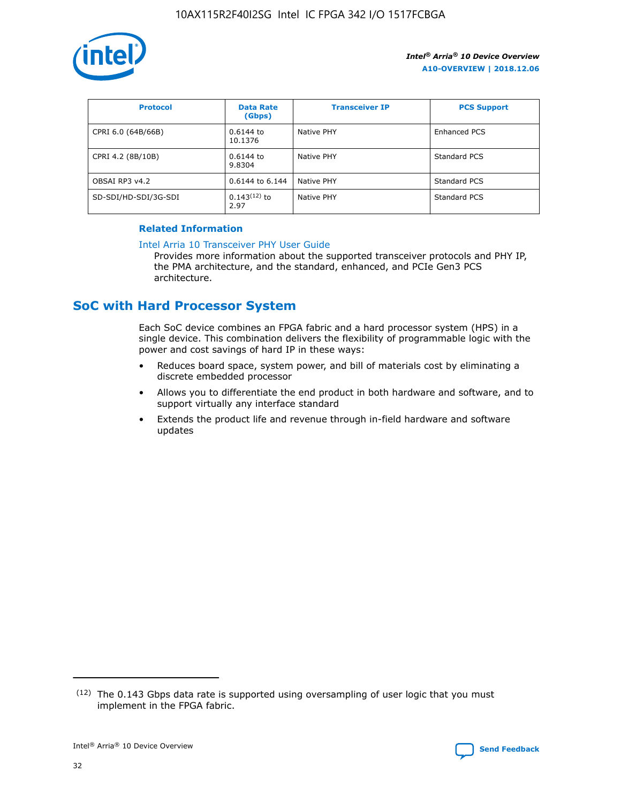

| <b>Protocol</b>      | <b>Data Rate</b><br>(Gbps) | <b>Transceiver IP</b> | <b>PCS Support</b> |
|----------------------|----------------------------|-----------------------|--------------------|
| CPRI 6.0 (64B/66B)   | 0.6144 to<br>10.1376       | Native PHY            | Enhanced PCS       |
| CPRI 4.2 (8B/10B)    | $0.6144$ to<br>9.8304      | Native PHY            | Standard PCS       |
| OBSAI RP3 v4.2       | 0.6144 to 6.144            | Native PHY            | Standard PCS       |
| SD-SDI/HD-SDI/3G-SDI | $0.143(12)$ to<br>2.97     | Native PHY            | Standard PCS       |

## **Related Information**

#### [Intel Arria 10 Transceiver PHY User Guide](https://www.intel.com/content/www/us/en/programmable/documentation/nik1398707230472.html#nik1398707091164)

Provides more information about the supported transceiver protocols and PHY IP, the PMA architecture, and the standard, enhanced, and PCIe Gen3 PCS architecture.

# **SoC with Hard Processor System**

Each SoC device combines an FPGA fabric and a hard processor system (HPS) in a single device. This combination delivers the flexibility of programmable logic with the power and cost savings of hard IP in these ways:

- Reduces board space, system power, and bill of materials cost by eliminating a discrete embedded processor
- Allows you to differentiate the end product in both hardware and software, and to support virtually any interface standard
- Extends the product life and revenue through in-field hardware and software updates

<sup>(12)</sup> The 0.143 Gbps data rate is supported using oversampling of user logic that you must implement in the FPGA fabric.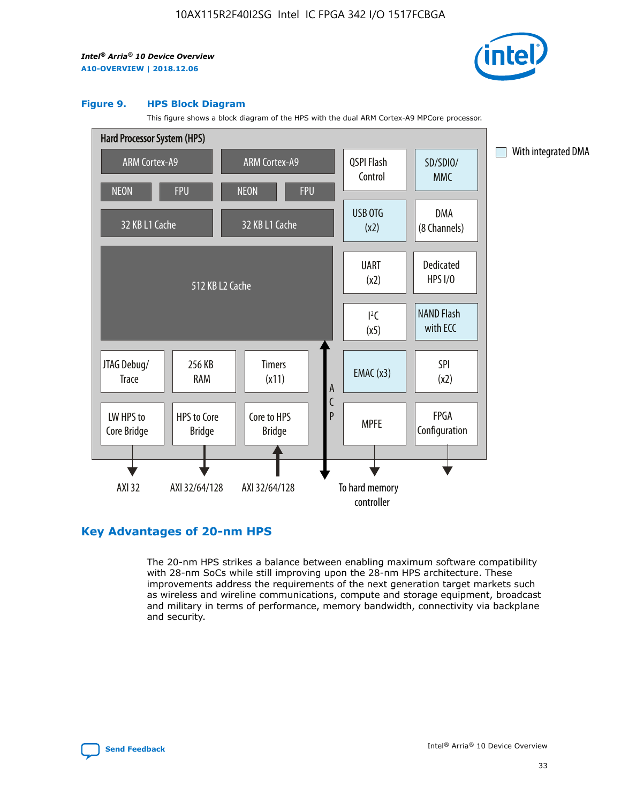

#### **Figure 9. HPS Block Diagram**

This figure shows a block diagram of the HPS with the dual ARM Cortex-A9 MPCore processor.



# **Key Advantages of 20-nm HPS**

The 20-nm HPS strikes a balance between enabling maximum software compatibility with 28-nm SoCs while still improving upon the 28-nm HPS architecture. These improvements address the requirements of the next generation target markets such as wireless and wireline communications, compute and storage equipment, broadcast and military in terms of performance, memory bandwidth, connectivity via backplane and security.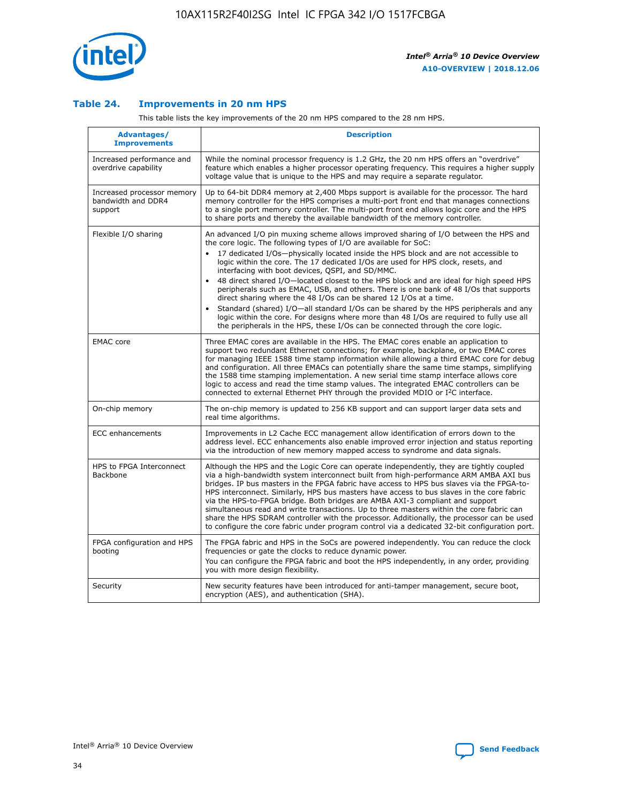

## **Table 24. Improvements in 20 nm HPS**

This table lists the key improvements of the 20 nm HPS compared to the 28 nm HPS.

| Advantages/<br><b>Improvements</b>                          | <b>Description</b>                                                                                                                                                                                                                                                                                                                                                                                                                                                                                                                                                                                                                                                                                                                                                                                                                                                                                                                   |
|-------------------------------------------------------------|--------------------------------------------------------------------------------------------------------------------------------------------------------------------------------------------------------------------------------------------------------------------------------------------------------------------------------------------------------------------------------------------------------------------------------------------------------------------------------------------------------------------------------------------------------------------------------------------------------------------------------------------------------------------------------------------------------------------------------------------------------------------------------------------------------------------------------------------------------------------------------------------------------------------------------------|
| Increased performance and<br>overdrive capability           | While the nominal processor frequency is 1.2 GHz, the 20 nm HPS offers an "overdrive"<br>feature which enables a higher processor operating frequency. This requires a higher supply<br>voltage value that is unique to the HPS and may require a separate regulator.                                                                                                                                                                                                                                                                                                                                                                                                                                                                                                                                                                                                                                                                |
| Increased processor memory<br>bandwidth and DDR4<br>support | Up to 64-bit DDR4 memory at 2,400 Mbps support is available for the processor. The hard<br>memory controller for the HPS comprises a multi-port front end that manages connections<br>to a single port memory controller. The multi-port front end allows logic core and the HPS<br>to share ports and thereby the available bandwidth of the memory controller.                                                                                                                                                                                                                                                                                                                                                                                                                                                                                                                                                                     |
| Flexible I/O sharing                                        | An advanced I/O pin muxing scheme allows improved sharing of I/O between the HPS and<br>the core logic. The following types of I/O are available for SoC:<br>17 dedicated I/Os-physically located inside the HPS block and are not accessible to<br>$\bullet$<br>logic within the core. The 17 dedicated I/Os are used for HPS clock, resets, and<br>interfacing with boot devices, QSPI, and SD/MMC.<br>48 direct shared I/O-located closest to the HPS block and are ideal for high speed HPS<br>peripherals such as EMAC, USB, and others. There is one bank of 48 I/Os that supports<br>direct sharing where the 48 I/Os can be shared 12 I/Os at a time.<br>Standard (shared) I/O—all standard I/Os can be shared by the HPS peripherals and any<br>logic within the core. For designs where more than 48 I/Os are required to fully use all<br>the peripherals in the HPS, these I/Os can be connected through the core logic. |
| <b>EMAC</b> core                                            | Three EMAC cores are available in the HPS. The EMAC cores enable an application to<br>support two redundant Ethernet connections; for example, backplane, or two EMAC cores<br>for managing IEEE 1588 time stamp information while allowing a third EMAC core for debug<br>and configuration. All three EMACs can potentially share the same time stamps, simplifying<br>the 1588 time stamping implementation. A new serial time stamp interface allows core<br>logic to access and read the time stamp values. The integrated EMAC controllers can be<br>connected to external Ethernet PHY through the provided MDIO or I <sup>2</sup> C interface.                                                                                                                                                                                                                                                                               |
| On-chip memory                                              | The on-chip memory is updated to 256 KB support and can support larger data sets and<br>real time algorithms.                                                                                                                                                                                                                                                                                                                                                                                                                                                                                                                                                                                                                                                                                                                                                                                                                        |
| <b>ECC</b> enhancements                                     | Improvements in L2 Cache ECC management allow identification of errors down to the<br>address level. ECC enhancements also enable improved error injection and status reporting<br>via the introduction of new memory mapped access to syndrome and data signals.                                                                                                                                                                                                                                                                                                                                                                                                                                                                                                                                                                                                                                                                    |
| HPS to FPGA Interconnect<br><b>Backbone</b>                 | Although the HPS and the Logic Core can operate independently, they are tightly coupled<br>via a high-bandwidth system interconnect built from high-performance ARM AMBA AXI bus<br>bridges. IP bus masters in the FPGA fabric have access to HPS bus slaves via the FPGA-to-<br>HPS interconnect. Similarly, HPS bus masters have access to bus slaves in the core fabric<br>via the HPS-to-FPGA bridge. Both bridges are AMBA AXI-3 compliant and support<br>simultaneous read and write transactions. Up to three masters within the core fabric can<br>share the HPS SDRAM controller with the processor. Additionally, the processor can be used<br>to configure the core fabric under program control via a dedicated 32-bit configuration port.                                                                                                                                                                               |
| FPGA configuration and HPS<br>booting                       | The FPGA fabric and HPS in the SoCs are powered independently. You can reduce the clock<br>frequencies or gate the clocks to reduce dynamic power.<br>You can configure the FPGA fabric and boot the HPS independently, in any order, providing<br>you with more design flexibility.                                                                                                                                                                                                                                                                                                                                                                                                                                                                                                                                                                                                                                                 |
| Security                                                    | New security features have been introduced for anti-tamper management, secure boot,<br>encryption (AES), and authentication (SHA).                                                                                                                                                                                                                                                                                                                                                                                                                                                                                                                                                                                                                                                                                                                                                                                                   |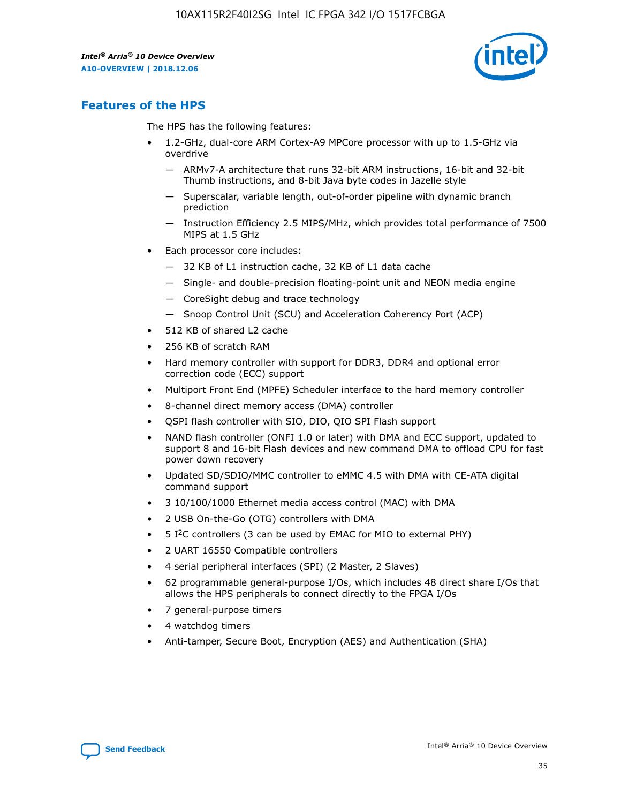

# **Features of the HPS**

The HPS has the following features:

- 1.2-GHz, dual-core ARM Cortex-A9 MPCore processor with up to 1.5-GHz via overdrive
	- ARMv7-A architecture that runs 32-bit ARM instructions, 16-bit and 32-bit Thumb instructions, and 8-bit Java byte codes in Jazelle style
	- Superscalar, variable length, out-of-order pipeline with dynamic branch prediction
	- Instruction Efficiency 2.5 MIPS/MHz, which provides total performance of 7500 MIPS at 1.5 GHz
- Each processor core includes:
	- 32 KB of L1 instruction cache, 32 KB of L1 data cache
	- Single- and double-precision floating-point unit and NEON media engine
	- CoreSight debug and trace technology
	- Snoop Control Unit (SCU) and Acceleration Coherency Port (ACP)
- 512 KB of shared L2 cache
- 256 KB of scratch RAM
- Hard memory controller with support for DDR3, DDR4 and optional error correction code (ECC) support
- Multiport Front End (MPFE) Scheduler interface to the hard memory controller
- 8-channel direct memory access (DMA) controller
- QSPI flash controller with SIO, DIO, QIO SPI Flash support
- NAND flash controller (ONFI 1.0 or later) with DMA and ECC support, updated to support 8 and 16-bit Flash devices and new command DMA to offload CPU for fast power down recovery
- Updated SD/SDIO/MMC controller to eMMC 4.5 with DMA with CE-ATA digital command support
- 3 10/100/1000 Ethernet media access control (MAC) with DMA
- 2 USB On-the-Go (OTG) controllers with DMA
- $\bullet$  5 I<sup>2</sup>C controllers (3 can be used by EMAC for MIO to external PHY)
- 2 UART 16550 Compatible controllers
- 4 serial peripheral interfaces (SPI) (2 Master, 2 Slaves)
- 62 programmable general-purpose I/Os, which includes 48 direct share I/Os that allows the HPS peripherals to connect directly to the FPGA I/Os
- 7 general-purpose timers
- 4 watchdog timers
- Anti-tamper, Secure Boot, Encryption (AES) and Authentication (SHA)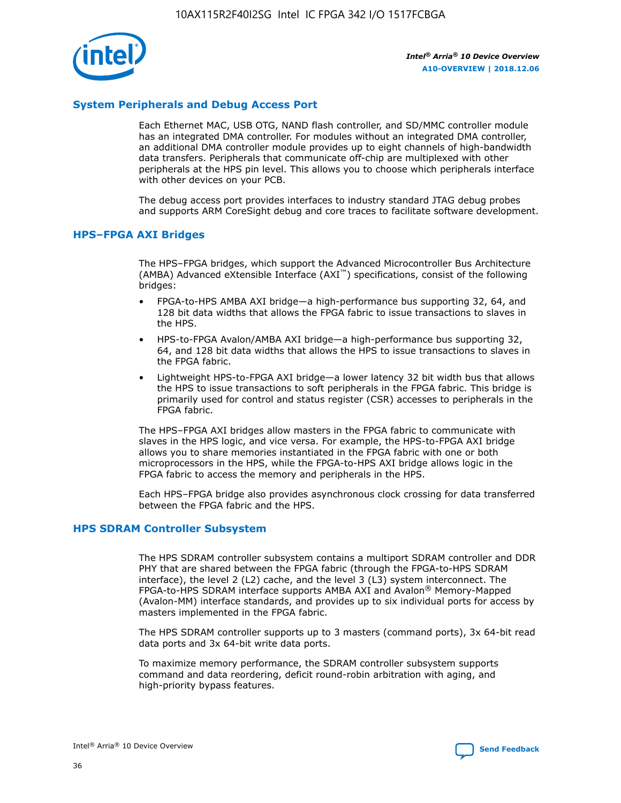

# **System Peripherals and Debug Access Port**

Each Ethernet MAC, USB OTG, NAND flash controller, and SD/MMC controller module has an integrated DMA controller. For modules without an integrated DMA controller, an additional DMA controller module provides up to eight channels of high-bandwidth data transfers. Peripherals that communicate off-chip are multiplexed with other peripherals at the HPS pin level. This allows you to choose which peripherals interface with other devices on your PCB.

The debug access port provides interfaces to industry standard JTAG debug probes and supports ARM CoreSight debug and core traces to facilitate software development.

#### **HPS–FPGA AXI Bridges**

The HPS–FPGA bridges, which support the Advanced Microcontroller Bus Architecture (AMBA) Advanced eXtensible Interface (AXI™) specifications, consist of the following bridges:

- FPGA-to-HPS AMBA AXI bridge—a high-performance bus supporting 32, 64, and 128 bit data widths that allows the FPGA fabric to issue transactions to slaves in the HPS.
- HPS-to-FPGA Avalon/AMBA AXI bridge—a high-performance bus supporting 32, 64, and 128 bit data widths that allows the HPS to issue transactions to slaves in the FPGA fabric.
- Lightweight HPS-to-FPGA AXI bridge—a lower latency 32 bit width bus that allows the HPS to issue transactions to soft peripherals in the FPGA fabric. This bridge is primarily used for control and status register (CSR) accesses to peripherals in the FPGA fabric.

The HPS–FPGA AXI bridges allow masters in the FPGA fabric to communicate with slaves in the HPS logic, and vice versa. For example, the HPS-to-FPGA AXI bridge allows you to share memories instantiated in the FPGA fabric with one or both microprocessors in the HPS, while the FPGA-to-HPS AXI bridge allows logic in the FPGA fabric to access the memory and peripherals in the HPS.

Each HPS–FPGA bridge also provides asynchronous clock crossing for data transferred between the FPGA fabric and the HPS.

#### **HPS SDRAM Controller Subsystem**

The HPS SDRAM controller subsystem contains a multiport SDRAM controller and DDR PHY that are shared between the FPGA fabric (through the FPGA-to-HPS SDRAM interface), the level 2 (L2) cache, and the level 3 (L3) system interconnect. The FPGA-to-HPS SDRAM interface supports AMBA AXI and Avalon® Memory-Mapped (Avalon-MM) interface standards, and provides up to six individual ports for access by masters implemented in the FPGA fabric.

The HPS SDRAM controller supports up to 3 masters (command ports), 3x 64-bit read data ports and 3x 64-bit write data ports.

To maximize memory performance, the SDRAM controller subsystem supports command and data reordering, deficit round-robin arbitration with aging, and high-priority bypass features.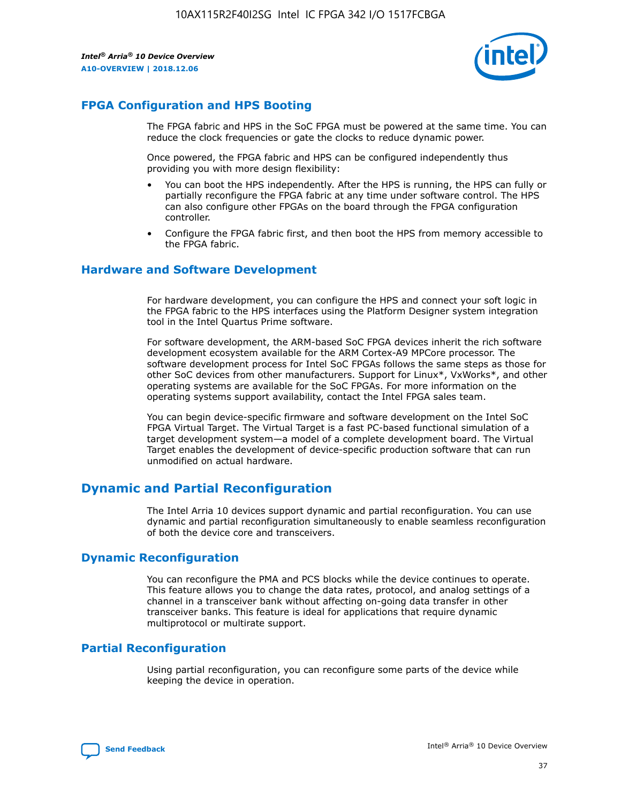

# **FPGA Configuration and HPS Booting**

The FPGA fabric and HPS in the SoC FPGA must be powered at the same time. You can reduce the clock frequencies or gate the clocks to reduce dynamic power.

Once powered, the FPGA fabric and HPS can be configured independently thus providing you with more design flexibility:

- You can boot the HPS independently. After the HPS is running, the HPS can fully or partially reconfigure the FPGA fabric at any time under software control. The HPS can also configure other FPGAs on the board through the FPGA configuration controller.
- Configure the FPGA fabric first, and then boot the HPS from memory accessible to the FPGA fabric.

## **Hardware and Software Development**

For hardware development, you can configure the HPS and connect your soft logic in the FPGA fabric to the HPS interfaces using the Platform Designer system integration tool in the Intel Quartus Prime software.

For software development, the ARM-based SoC FPGA devices inherit the rich software development ecosystem available for the ARM Cortex-A9 MPCore processor. The software development process for Intel SoC FPGAs follows the same steps as those for other SoC devices from other manufacturers. Support for Linux\*, VxWorks\*, and other operating systems are available for the SoC FPGAs. For more information on the operating systems support availability, contact the Intel FPGA sales team.

You can begin device-specific firmware and software development on the Intel SoC FPGA Virtual Target. The Virtual Target is a fast PC-based functional simulation of a target development system—a model of a complete development board. The Virtual Target enables the development of device-specific production software that can run unmodified on actual hardware.

# **Dynamic and Partial Reconfiguration**

The Intel Arria 10 devices support dynamic and partial reconfiguration. You can use dynamic and partial reconfiguration simultaneously to enable seamless reconfiguration of both the device core and transceivers.

# **Dynamic Reconfiguration**

You can reconfigure the PMA and PCS blocks while the device continues to operate. This feature allows you to change the data rates, protocol, and analog settings of a channel in a transceiver bank without affecting on-going data transfer in other transceiver banks. This feature is ideal for applications that require dynamic multiprotocol or multirate support.

# **Partial Reconfiguration**

Using partial reconfiguration, you can reconfigure some parts of the device while keeping the device in operation.

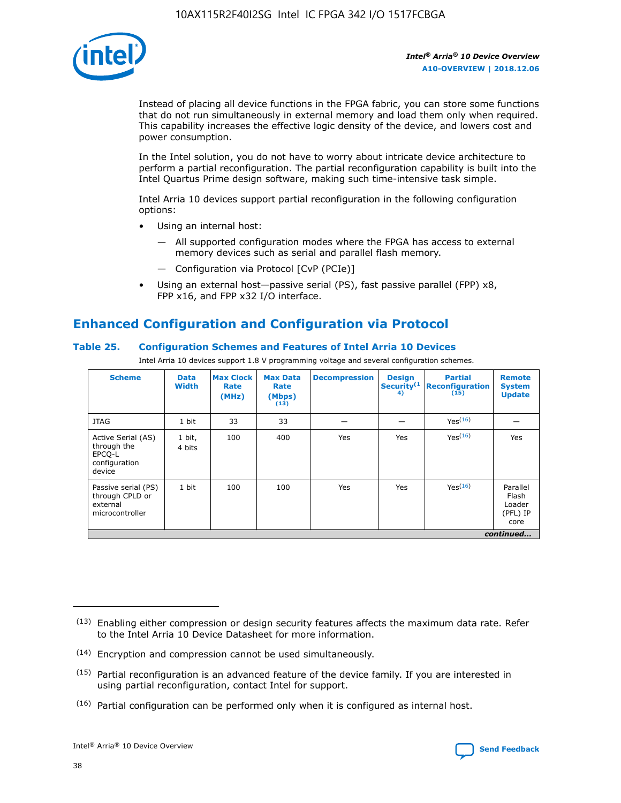

Instead of placing all device functions in the FPGA fabric, you can store some functions that do not run simultaneously in external memory and load them only when required. This capability increases the effective logic density of the device, and lowers cost and power consumption.

In the Intel solution, you do not have to worry about intricate device architecture to perform a partial reconfiguration. The partial reconfiguration capability is built into the Intel Quartus Prime design software, making such time-intensive task simple.

Intel Arria 10 devices support partial reconfiguration in the following configuration options:

- Using an internal host:
	- All supported configuration modes where the FPGA has access to external memory devices such as serial and parallel flash memory.
	- Configuration via Protocol [CvP (PCIe)]
- Using an external host—passive serial (PS), fast passive parallel (FPP) x8, FPP x16, and FPP x32 I/O interface.

# **Enhanced Configuration and Configuration via Protocol**

# **Table 25. Configuration Schemes and Features of Intel Arria 10 Devices**

Intel Arria 10 devices support 1.8 V programming voltage and several configuration schemes.

| <b>Scheme</b>                                                          | <b>Data</b><br><b>Width</b> | <b>Max Clock</b><br>Rate<br>(MHz) | <b>Max Data</b><br>Rate<br>(Mbps)<br>(13) | <b>Decompression</b> | <b>Design</b><br>Security <sup>(1</sup><br>4) | <b>Partial</b><br><b>Reconfiguration</b><br>(15) | <b>Remote</b><br><b>System</b><br><b>Update</b> |
|------------------------------------------------------------------------|-----------------------------|-----------------------------------|-------------------------------------------|----------------------|-----------------------------------------------|--------------------------------------------------|-------------------------------------------------|
| <b>JTAG</b>                                                            | 1 bit                       | 33                                | 33                                        |                      |                                               | Yes(16)                                          |                                                 |
| Active Serial (AS)<br>through the<br>EPCO-L<br>configuration<br>device | 1 bit,<br>4 bits            | 100                               | 400                                       | Yes                  | Yes                                           | $Y_{PS}(16)$                                     | Yes                                             |
| Passive serial (PS)<br>through CPLD or<br>external<br>microcontroller  | 1 bit                       | 100                               | 100                                       | Yes                  | Yes                                           | Yes(16)                                          | Parallel<br>Flash<br>Loader<br>(PFL) IP<br>core |
|                                                                        |                             |                                   |                                           |                      |                                               |                                                  | continued                                       |

<sup>(13)</sup> Enabling either compression or design security features affects the maximum data rate. Refer to the Intel Arria 10 Device Datasheet for more information.

<sup>(14)</sup> Encryption and compression cannot be used simultaneously.

 $(15)$  Partial reconfiguration is an advanced feature of the device family. If you are interested in using partial reconfiguration, contact Intel for support.

 $(16)$  Partial configuration can be performed only when it is configured as internal host.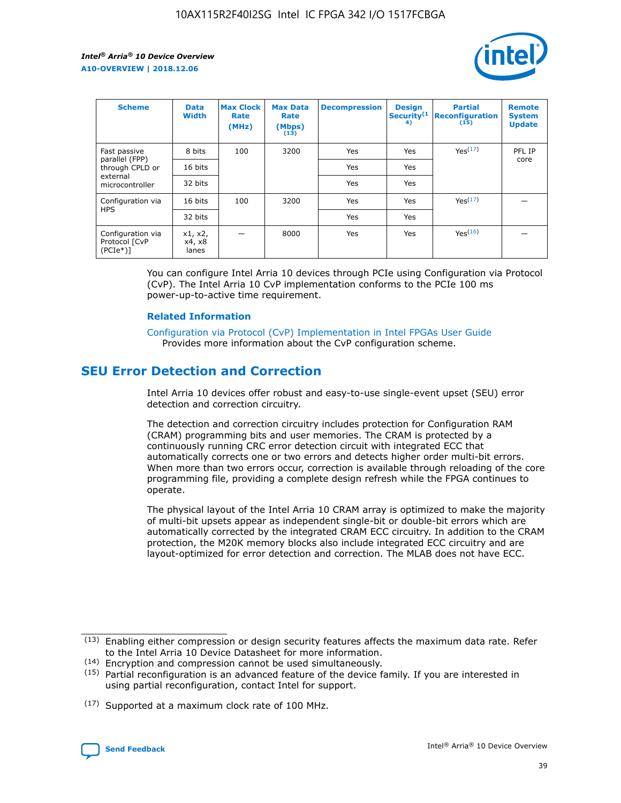

| <b>Scheme</b>                                   | <b>Data</b><br><b>Width</b> | <b>Max Clock</b><br>Rate<br>(MHz) | <b>Max Data</b><br>Rate<br>(Mbps)<br>(13) | <b>Decompression</b> | <b>Design</b><br>Security <sup>(1</sup><br>4) | <b>Partial</b><br><b>Reconfiguration</b><br>(15) | <b>Remote</b><br><b>System</b><br><b>Update</b> |
|-------------------------------------------------|-----------------------------|-----------------------------------|-------------------------------------------|----------------------|-----------------------------------------------|--------------------------------------------------|-------------------------------------------------|
| Fast passive                                    | 8 bits                      | 100                               | 3200                                      | Yes                  | Yes                                           | Yes(17)                                          | PFL IP                                          |
| parallel (FPP)<br>through CPLD or               | 16 bits                     |                                   |                                           | Yes                  | Yes                                           |                                                  | core                                            |
| external<br>microcontroller                     | 32 bits                     |                                   |                                           | Yes                  | Yes                                           |                                                  |                                                 |
| Configuration via                               | 16 bits                     | 100                               | 3200                                      | Yes                  | Yes                                           | Yes <sup>(17)</sup>                              |                                                 |
| <b>HPS</b>                                      | 32 bits                     |                                   |                                           | Yes                  | Yes                                           |                                                  |                                                 |
| Configuration via<br>Protocol [CvP<br>$(PCIe*)$ | x1, x2,<br>x4, x8<br>lanes  |                                   | 8000                                      | Yes                  | Yes                                           | Yes <sup>(16)</sup>                              |                                                 |

You can configure Intel Arria 10 devices through PCIe using Configuration via Protocol (CvP). The Intel Arria 10 CvP implementation conforms to the PCIe 100 ms power-up-to-active time requirement.

#### **Related Information**

[Configuration via Protocol \(CvP\) Implementation in Intel FPGAs User Guide](https://www.intel.com/content/www/us/en/programmable/documentation/dsu1441819344145.html#dsu1442269728522) Provides more information about the CvP configuration scheme.

# **SEU Error Detection and Correction**

Intel Arria 10 devices offer robust and easy-to-use single-event upset (SEU) error detection and correction circuitry.

The detection and correction circuitry includes protection for Configuration RAM (CRAM) programming bits and user memories. The CRAM is protected by a continuously running CRC error detection circuit with integrated ECC that automatically corrects one or two errors and detects higher order multi-bit errors. When more than two errors occur, correction is available through reloading of the core programming file, providing a complete design refresh while the FPGA continues to operate.

The physical layout of the Intel Arria 10 CRAM array is optimized to make the majority of multi-bit upsets appear as independent single-bit or double-bit errors which are automatically corrected by the integrated CRAM ECC circuitry. In addition to the CRAM protection, the M20K memory blocks also include integrated ECC circuitry and are layout-optimized for error detection and correction. The MLAB does not have ECC.

(14) Encryption and compression cannot be used simultaneously.

<sup>(17)</sup> Supported at a maximum clock rate of 100 MHz.



 $(13)$  Enabling either compression or design security features affects the maximum data rate. Refer to the Intel Arria 10 Device Datasheet for more information.

 $(15)$  Partial reconfiguration is an advanced feature of the device family. If you are interested in using partial reconfiguration, contact Intel for support.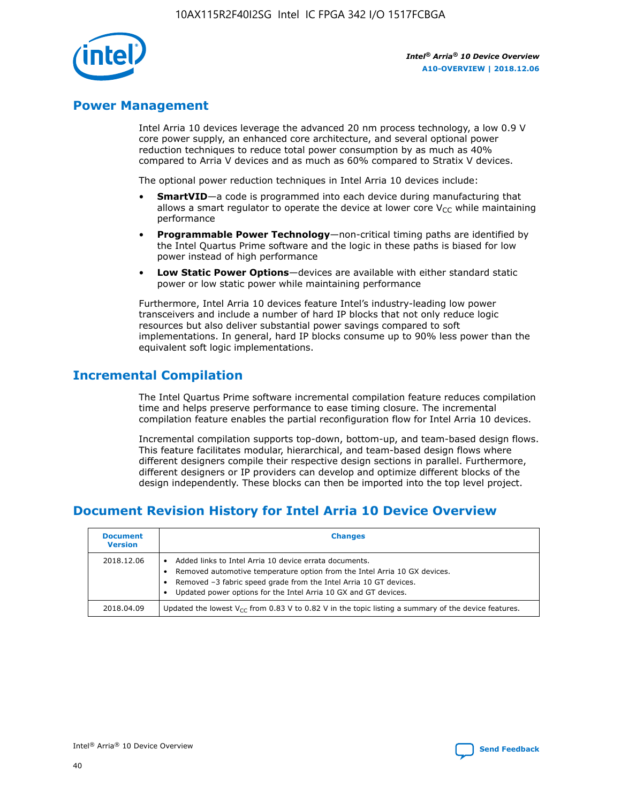

# **Power Management**

Intel Arria 10 devices leverage the advanced 20 nm process technology, a low 0.9 V core power supply, an enhanced core architecture, and several optional power reduction techniques to reduce total power consumption by as much as 40% compared to Arria V devices and as much as 60% compared to Stratix V devices.

The optional power reduction techniques in Intel Arria 10 devices include:

- **SmartVID**—a code is programmed into each device during manufacturing that allows a smart regulator to operate the device at lower core  $V_{CC}$  while maintaining performance
- **Programmable Power Technology**—non-critical timing paths are identified by the Intel Quartus Prime software and the logic in these paths is biased for low power instead of high performance
- **Low Static Power Options**—devices are available with either standard static power or low static power while maintaining performance

Furthermore, Intel Arria 10 devices feature Intel's industry-leading low power transceivers and include a number of hard IP blocks that not only reduce logic resources but also deliver substantial power savings compared to soft implementations. In general, hard IP blocks consume up to 90% less power than the equivalent soft logic implementations.

# **Incremental Compilation**

The Intel Quartus Prime software incremental compilation feature reduces compilation time and helps preserve performance to ease timing closure. The incremental compilation feature enables the partial reconfiguration flow for Intel Arria 10 devices.

Incremental compilation supports top-down, bottom-up, and team-based design flows. This feature facilitates modular, hierarchical, and team-based design flows where different designers compile their respective design sections in parallel. Furthermore, different designers or IP providers can develop and optimize different blocks of the design independently. These blocks can then be imported into the top level project.

# **Document Revision History for Intel Arria 10 Device Overview**

| <b>Document</b><br><b>Version</b> | <b>Changes</b>                                                                                                                                                                                                                                                              |
|-----------------------------------|-----------------------------------------------------------------------------------------------------------------------------------------------------------------------------------------------------------------------------------------------------------------------------|
| 2018.12.06                        | Added links to Intel Arria 10 device errata documents.<br>Removed automotive temperature option from the Intel Arria 10 GX devices.<br>Removed -3 fabric speed grade from the Intel Arria 10 GT devices.<br>Updated power options for the Intel Arria 10 GX and GT devices. |
| 2018.04.09                        | Updated the lowest $V_{CC}$ from 0.83 V to 0.82 V in the topic listing a summary of the device features.                                                                                                                                                                    |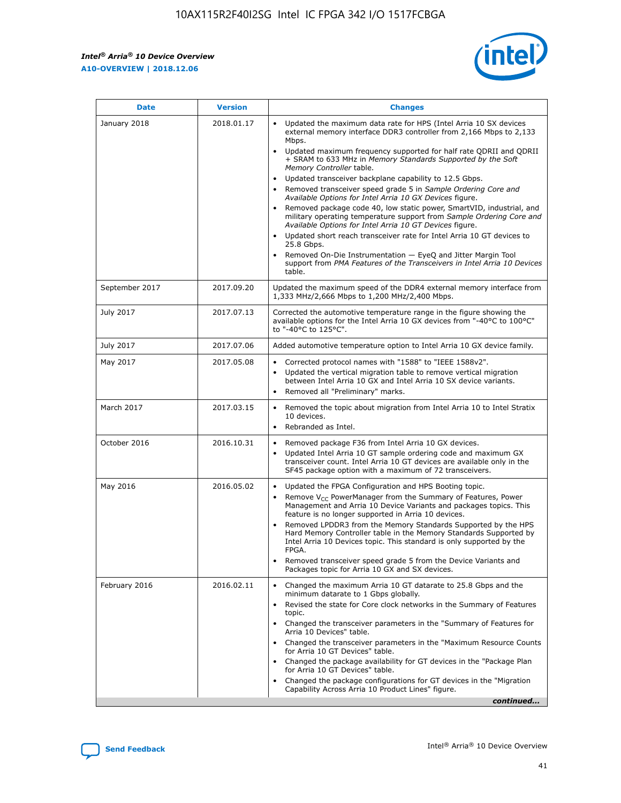

| <b>Date</b>    | <b>Version</b> | <b>Changes</b>                                                                                                                                                                                                                                                                                                                                                                                                                                                                                                                                                                                                                                                                                                                                                                                                                                                                                                                                               |
|----------------|----------------|--------------------------------------------------------------------------------------------------------------------------------------------------------------------------------------------------------------------------------------------------------------------------------------------------------------------------------------------------------------------------------------------------------------------------------------------------------------------------------------------------------------------------------------------------------------------------------------------------------------------------------------------------------------------------------------------------------------------------------------------------------------------------------------------------------------------------------------------------------------------------------------------------------------------------------------------------------------|
| January 2018   | 2018.01.17     | Updated the maximum data rate for HPS (Intel Arria 10 SX devices<br>external memory interface DDR3 controller from 2,166 Mbps to 2,133<br>Mbps.<br>Updated maximum frequency supported for half rate QDRII and QDRII<br>+ SRAM to 633 MHz in Memory Standards Supported by the Soft<br>Memory Controller table.<br>Updated transceiver backplane capability to 12.5 Gbps.<br>Removed transceiver speed grade 5 in Sample Ordering Core and<br>Available Options for Intel Arria 10 GX Devices figure.<br>Removed package code 40, low static power, SmartVID, industrial, and<br>military operating temperature support from Sample Ordering Core and<br>Available Options for Intel Arria 10 GT Devices figure.<br>Updated short reach transceiver rate for Intel Arria 10 GT devices to<br>25.8 Gbps.<br>Removed On-Die Instrumentation - EyeQ and Jitter Margin Tool<br>support from PMA Features of the Transceivers in Intel Arria 10 Devices<br>table. |
| September 2017 | 2017.09.20     | Updated the maximum speed of the DDR4 external memory interface from<br>1,333 MHz/2,666 Mbps to 1,200 MHz/2,400 Mbps.                                                                                                                                                                                                                                                                                                                                                                                                                                                                                                                                                                                                                                                                                                                                                                                                                                        |
| July 2017      | 2017.07.13     | Corrected the automotive temperature range in the figure showing the<br>available options for the Intel Arria 10 GX devices from "-40°C to 100°C"<br>to "-40°C to 125°C".                                                                                                                                                                                                                                                                                                                                                                                                                                                                                                                                                                                                                                                                                                                                                                                    |
| July 2017      | 2017.07.06     | Added automotive temperature option to Intel Arria 10 GX device family.                                                                                                                                                                                                                                                                                                                                                                                                                                                                                                                                                                                                                                                                                                                                                                                                                                                                                      |
| May 2017       | 2017.05.08     | Corrected protocol names with "1588" to "IEEE 1588v2".<br>$\bullet$<br>Updated the vertical migration table to remove vertical migration<br>$\bullet$<br>between Intel Arria 10 GX and Intel Arria 10 SX device variants.<br>Removed all "Preliminary" marks.<br>$\bullet$                                                                                                                                                                                                                                                                                                                                                                                                                                                                                                                                                                                                                                                                                   |
| March 2017     | 2017.03.15     | Removed the topic about migration from Intel Arria 10 to Intel Stratix<br>$\bullet$<br>10 devices.<br>Rebranded as Intel.<br>$\bullet$                                                                                                                                                                                                                                                                                                                                                                                                                                                                                                                                                                                                                                                                                                                                                                                                                       |
| October 2016   | 2016.10.31     | Removed package F36 from Intel Arria 10 GX devices.<br>Updated Intel Arria 10 GT sample ordering code and maximum GX<br>$\bullet$<br>transceiver count. Intel Arria 10 GT devices are available only in the<br>SF45 package option with a maximum of 72 transceivers.                                                                                                                                                                                                                                                                                                                                                                                                                                                                                                                                                                                                                                                                                        |
| May 2016       | 2016.05.02     | Updated the FPGA Configuration and HPS Booting topic.<br>$\bullet$<br>Remove V <sub>CC</sub> PowerManager from the Summary of Features, Power<br>Management and Arria 10 Device Variants and packages topics. This<br>feature is no longer supported in Arria 10 devices.<br>Removed LPDDR3 from the Memory Standards Supported by the HPS<br>Hard Memory Controller table in the Memory Standards Supported by<br>Intel Arria 10 Devices topic. This standard is only supported by the<br><b>FPGA</b><br>Removed transceiver speed grade 5 from the Device Variants and<br>Packages topic for Arria 10 GX and SX devices.                                                                                                                                                                                                                                                                                                                                   |
| February 2016  | 2016.02.11     | Changed the maximum Arria 10 GT datarate to 25.8 Gbps and the<br>$\bullet$<br>minimum datarate to 1 Gbps globally.<br>Revised the state for Core clock networks in the Summary of Features<br>$\bullet$<br>topic.<br>Changed the transceiver parameters in the "Summary of Features for<br>$\bullet$<br>Arria 10 Devices" table.<br>Changed the transceiver parameters in the "Maximum Resource Counts<br>for Arria 10 GT Devices" table.<br>Changed the package availability for GT devices in the "Package Plan<br>for Arria 10 GT Devices" table.<br>Changed the package configurations for GT devices in the "Migration"<br>Capability Across Arria 10 Product Lines" figure.<br>continued                                                                                                                                                                                                                                                               |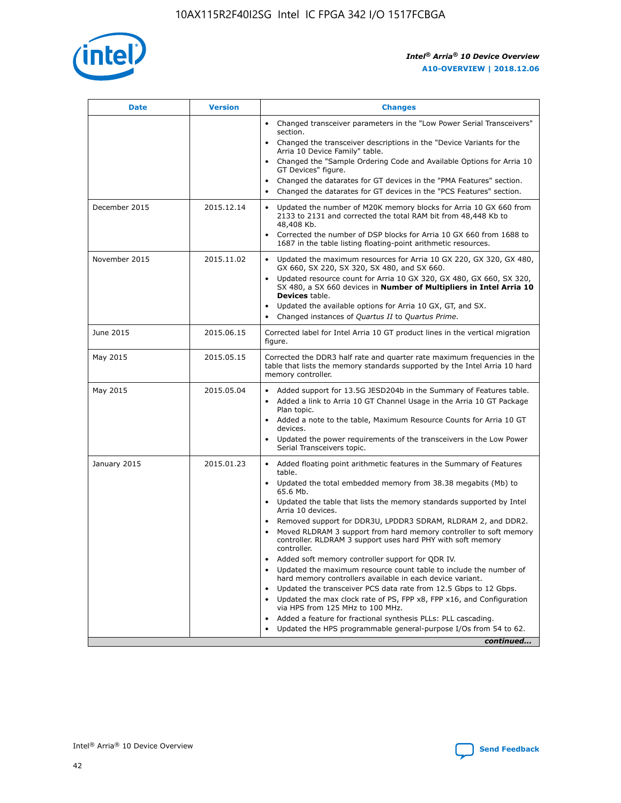

| <b>Date</b>   | <b>Version</b> | <b>Changes</b>                                                                                                                                                               |
|---------------|----------------|------------------------------------------------------------------------------------------------------------------------------------------------------------------------------|
|               |                | • Changed transceiver parameters in the "Low Power Serial Transceivers"<br>section.                                                                                          |
|               |                | • Changed the transceiver descriptions in the "Device Variants for the<br>Arria 10 Device Family" table.                                                                     |
|               |                | Changed the "Sample Ordering Code and Available Options for Arria 10<br>$\bullet$<br>GT Devices" figure.                                                                     |
|               |                | Changed the datarates for GT devices in the "PMA Features" section.                                                                                                          |
|               |                | Changed the datarates for GT devices in the "PCS Features" section.<br>$\bullet$                                                                                             |
| December 2015 | 2015.12.14     | Updated the number of M20K memory blocks for Arria 10 GX 660 from<br>2133 to 2131 and corrected the total RAM bit from 48,448 Kb to<br>48,408 Kb.                            |
|               |                | Corrected the number of DSP blocks for Arria 10 GX 660 from 1688 to<br>1687 in the table listing floating-point arithmetic resources.                                        |
| November 2015 | 2015.11.02     | Updated the maximum resources for Arria 10 GX 220, GX 320, GX 480,<br>$\bullet$<br>GX 660, SX 220, SX 320, SX 480, and SX 660.                                               |
|               |                | Updated resource count for Arria 10 GX 320, GX 480, GX 660, SX 320,<br>SX 480, a SX 660 devices in Number of Multipliers in Intel Arria 10<br><b>Devices</b> table.          |
|               |                | Updated the available options for Arria 10 GX, GT, and SX.                                                                                                                   |
|               |                | Changed instances of Quartus II to Quartus Prime.                                                                                                                            |
| June 2015     | 2015.06.15     | Corrected label for Intel Arria 10 GT product lines in the vertical migration<br>figure.                                                                                     |
| May 2015      | 2015.05.15     | Corrected the DDR3 half rate and quarter rate maximum frequencies in the<br>table that lists the memory standards supported by the Intel Arria 10 hard<br>memory controller. |
| May 2015      | 2015.05.04     | Added support for 13.5G JESD204b in the Summary of Features table.<br>$\bullet$<br>Added a link to Arria 10 GT Channel Usage in the Arria 10 GT Package<br>$\bullet$         |
|               |                | Plan topic.                                                                                                                                                                  |
|               |                | • Added a note to the table, Maximum Resource Counts for Arria 10 GT<br>devices.                                                                                             |
|               |                | Updated the power requirements of the transceivers in the Low Power<br>Serial Transceivers topic.                                                                            |
| January 2015  | 2015.01.23     | • Added floating point arithmetic features in the Summary of Features<br>table.                                                                                              |
|               |                | Updated the total embedded memory from 38.38 megabits (Mb) to<br>$\bullet$<br>65.6 Mb.                                                                                       |
|               |                | • Updated the table that lists the memory standards supported by Intel<br>Arria 10 devices.                                                                                  |
|               |                | Removed support for DDR3U, LPDDR3 SDRAM, RLDRAM 2, and DDR2.                                                                                                                 |
|               |                | Moved RLDRAM 3 support from hard memory controller to soft memory<br>controller. RLDRAM 3 support uses hard PHY with soft memory<br>controller.                              |
|               |                | Added soft memory controller support for QDR IV.<br>$\bullet$                                                                                                                |
|               |                | Updated the maximum resource count table to include the number of<br>hard memory controllers available in each device variant.                                               |
|               |                | Updated the transceiver PCS data rate from 12.5 Gbps to 12 Gbps.<br>$\bullet$                                                                                                |
|               |                | Updated the max clock rate of PS, FPP x8, FPP x16, and Configuration<br>via HPS from 125 MHz to 100 MHz.                                                                     |
|               |                | Added a feature for fractional synthesis PLLs: PLL cascading.                                                                                                                |
|               |                | Updated the HPS programmable general-purpose I/Os from 54 to 62.                                                                                                             |
|               |                | continued                                                                                                                                                                    |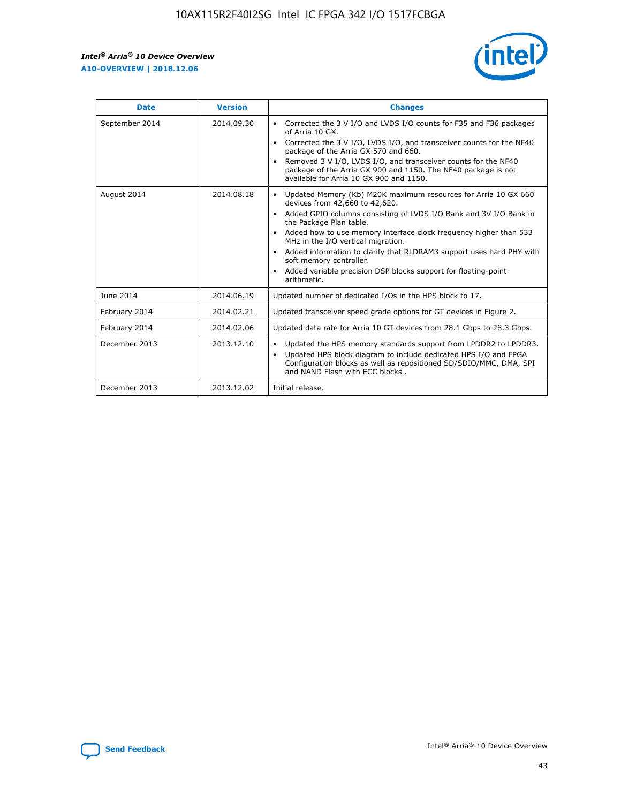r



| <b>Date</b>    | <b>Version</b> | <b>Changes</b>                                                                                                                                                                                                                                                                                                                                                                                                                                                                                                                                      |
|----------------|----------------|-----------------------------------------------------------------------------------------------------------------------------------------------------------------------------------------------------------------------------------------------------------------------------------------------------------------------------------------------------------------------------------------------------------------------------------------------------------------------------------------------------------------------------------------------------|
| September 2014 | 2014.09.30     | Corrected the 3 V I/O and LVDS I/O counts for F35 and F36 packages<br>$\bullet$<br>of Arria 10 GX.<br>Corrected the 3 V I/O, LVDS I/O, and transceiver counts for the NF40<br>$\bullet$<br>package of the Arria GX 570 and 660.<br>Removed 3 V I/O, LVDS I/O, and transceiver counts for the NF40<br>package of the Arria GX 900 and 1150. The NF40 package is not<br>available for Arria 10 GX 900 and 1150.                                                                                                                                       |
| August 2014    | 2014.08.18     | Updated Memory (Kb) M20K maximum resources for Arria 10 GX 660<br>devices from 42,660 to 42,620.<br>Added GPIO columns consisting of LVDS I/O Bank and 3V I/O Bank in<br>$\bullet$<br>the Package Plan table.<br>Added how to use memory interface clock frequency higher than 533<br>$\bullet$<br>MHz in the I/O vertical migration.<br>Added information to clarify that RLDRAM3 support uses hard PHY with<br>$\bullet$<br>soft memory controller.<br>Added variable precision DSP blocks support for floating-point<br>$\bullet$<br>arithmetic. |
| June 2014      | 2014.06.19     | Updated number of dedicated I/Os in the HPS block to 17.                                                                                                                                                                                                                                                                                                                                                                                                                                                                                            |
| February 2014  | 2014.02.21     | Updated transceiver speed grade options for GT devices in Figure 2.                                                                                                                                                                                                                                                                                                                                                                                                                                                                                 |
| February 2014  | 2014.02.06     | Updated data rate for Arria 10 GT devices from 28.1 Gbps to 28.3 Gbps.                                                                                                                                                                                                                                                                                                                                                                                                                                                                              |
| December 2013  | 2013.12.10     | Updated the HPS memory standards support from LPDDR2 to LPDDR3.<br>Updated HPS block diagram to include dedicated HPS I/O and FPGA<br>$\bullet$<br>Configuration blocks as well as repositioned SD/SDIO/MMC, DMA, SPI<br>and NAND Flash with ECC blocks.                                                                                                                                                                                                                                                                                            |
| December 2013  | 2013.12.02     | Initial release.                                                                                                                                                                                                                                                                                                                                                                                                                                                                                                                                    |